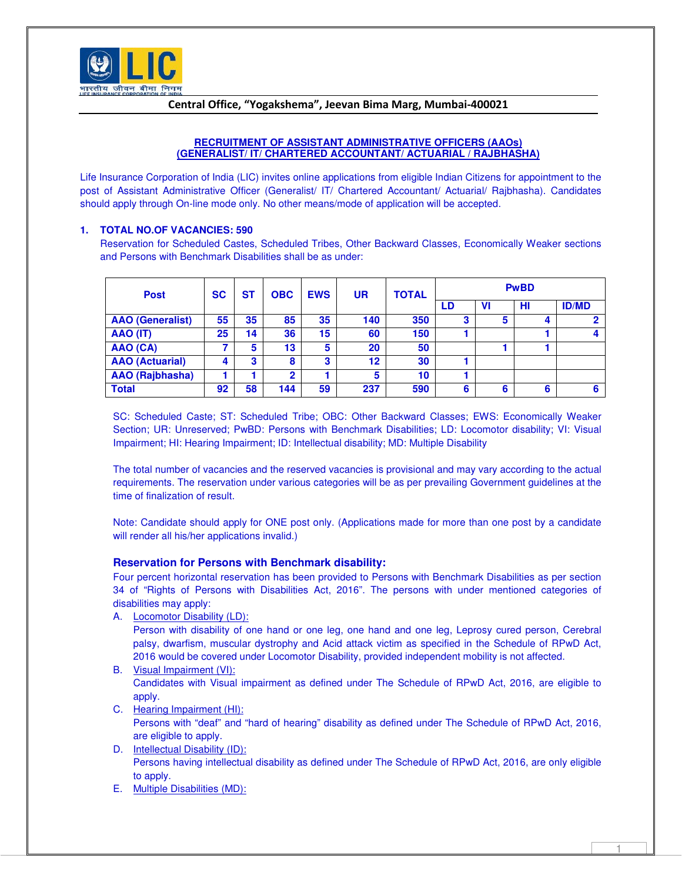

# Central Office, "Yogakshema", Jeevan Bima Marg, Mumbai-400021

## **RECRUITMENT OF ASSISTANT ADMINISTRATIVE OFFICERS (AAOs) (GENERALIST/ IT/ CHARTERED ACCOUNTANT/ ACTUARIAL / RAJBHASHA)**

Life Insurance Corporation of India (LIC) invites online applications from eligible Indian Citizens for appointment to the post of Assistant Administrative Officer (Generalist/ IT/ Chartered Accountant/ Actuarial/ Rajbhasha). Candidates should apply through On-line mode only. No other means/mode of application will be accepted.

# **1. TOTAL NO.OF VACANCIES: 590**

Reservation for Scheduled Castes, Scheduled Tribes, Other Backward Classes, Economically Weaker sections and Persons with Benchmark Disabilities shall be as under:

| <b>Post</b>             | <b>SC</b><br>ST |    | <b>OBC</b>     | <b>EWS</b> |     | <b>TOTAL</b> | <b>PwBD</b> |    |   |              |  |
|-------------------------|-----------------|----|----------------|------------|-----|--------------|-------------|----|---|--------------|--|
|                         |                 |    |                |            |     |              | LD          | VI | н | <b>ID/MD</b> |  |
| <b>AAO</b> (Generalist) | 55              | 35 | 85             | 35         | 140 | 350          | 3           | 5  | 4 | 2            |  |
| AAO (IT)                | 25              | 14 | 36             | 15         | 60  | 150          |             |    |   | 4            |  |
| AAO (CA)                | 7               | 5  | 13             | 5          | 20  | 50           |             |    |   |              |  |
| <b>AAO</b> (Actuarial)  |                 | 3  | 8              | 3          | 12  | 30           |             |    |   |              |  |
| AAO (Rajbhasha)         |                 |    | $\overline{2}$ |            | 5   | 10           |             |    |   |              |  |
| <b>Total</b>            | 92              | 58 | 144            | 59         | 237 | 590          | 6           | 6  | 6 | 6            |  |

SC: Scheduled Caste; ST: Scheduled Tribe; OBC: Other Backward Classes; EWS: Economically Weaker Section; UR: Unreserved; PwBD: Persons with Benchmark Disabilities; LD: Locomotor disability; VI: Visual Impairment; HI: Hearing Impairment; ID: Intellectual disability; MD: Multiple Disability

The total number of vacancies and the reserved vacancies is provisional and may vary according to the actual requirements. The reservation under various categories will be as per prevailing Government guidelines at the time of finalization of result.

Note: Candidate should apply for ONE post only. (Applications made for more than one post by a candidate will render all his/her applications invalid.)

#### **Reservation for Persons with Benchmark disability:**

Four percent horizontal reservation has been provided to Persons with Benchmark Disabilities as per section 34 of "Rights of Persons with Disabilities Act, 2016". The persons with under mentioned categories of disabilities may apply:

A. Locomotor Disability (LD):

Person with disability of one hand or one leg, one hand and one leg, Leprosy cured person, Cerebral palsy, dwarfism, muscular dystrophy and Acid attack victim as specified in the Schedule of RPwD Act, 2016 would be covered under Locomotor Disability, provided independent mobility is not affected.

- B. Visual Impairment (VI): Candidates with Visual impairment as defined under The Schedule of RPwD Act, 2016, are eligible to apply.
- C. Hearing Impairment (HI):

Persons with "deaf" and "hard of hearing" disability as defined under The Schedule of RPwD Act, 2016, are eligible to apply.

- D. Intellectual Disability (ID): Persons having intellectual disability as defined under The Schedule of RPwD Act, 2016, are only eligible to apply.
- E. Multiple Disabilities (MD):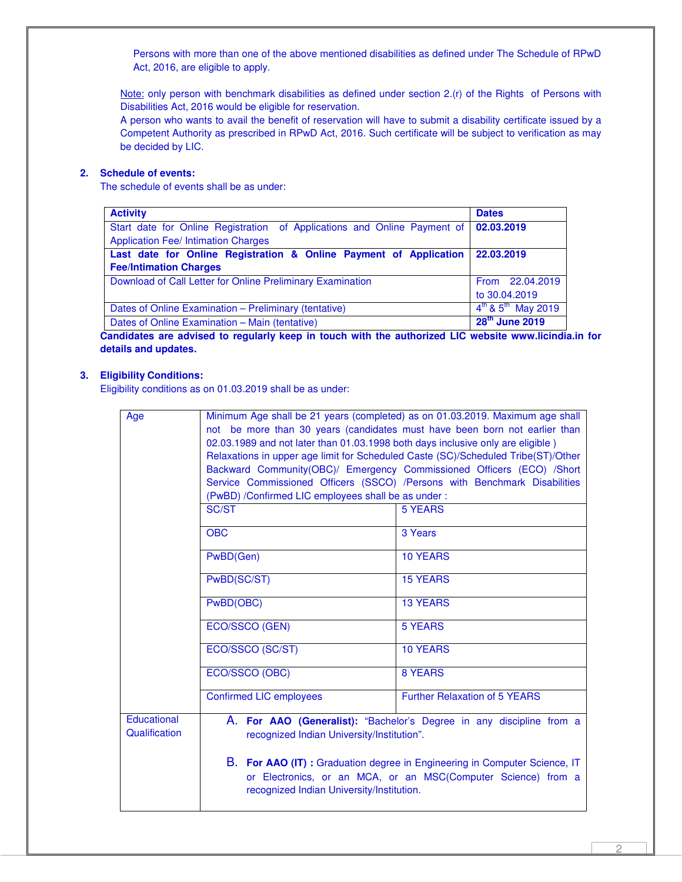Persons with more than one of the above mentioned disabilities as defined under The Schedule of RPwD Act, 2016, are eligible to apply.

Note: only person with benchmark disabilities as defined under section 2.(r) of the Rights of Persons with Disabilities Act, 2016 would be eligible for reservation.

A person who wants to avail the benefit of reservation will have to submit a disability certificate issued by a Competent Authority as prescribed in RPwD Act, 2016. Such certificate will be subject to verification as may be decided by LIC.

# **2. Schedule of events:**

The schedule of events shall be as under:

| <b>Activity</b>                                                          | <b>Dates</b>                               |
|--------------------------------------------------------------------------|--------------------------------------------|
| Start date for Online Registration of Applications and Online Payment of | 02.03.2019                                 |
| <b>Application Fee/ Intimation Charges</b>                               |                                            |
| Last date for Online Registration & Online Payment of Application        | 22.03.2019                                 |
| <b>Fee/Intimation Charges</b>                                            |                                            |
| Download of Call Letter for Online Preliminary Examination               | From 22.04.2019                            |
|                                                                          | to 30.04.2019                              |
| Dates of Online Examination - Preliminary (tentative)                    | $4^{\text{th}}$ & $5^{\text{th}}$ May 2019 |
| Dates of Online Examination - Main (tentative)                           | 28 <sup>th</sup> June 2019                 |

**Candidates are advised to regularly keep in touch with the authorized LIC website www.licindia.in for details and updates.** 

## **3. Eligibility Conditions:**

Eligibility conditions as on 01.03.2019 shall be as under:

| Age                          | Minimum Age shall be 21 years (completed) as on 01.03.2019. Maximum age shall<br>not be more than 30 years (candidates must have been born not earlier than<br>02.03.1989 and not later than 01.03.1998 both days inclusive only are eligible)<br>Relaxations in upper age limit for Scheduled Caste (SC)/Scheduled Tribe(ST)/Other |                                                                           |  |  |  |  |  |  |  |  |  |
|------------------------------|-------------------------------------------------------------------------------------------------------------------------------------------------------------------------------------------------------------------------------------------------------------------------------------------------------------------------------------|---------------------------------------------------------------------------|--|--|--|--|--|--|--|--|--|
|                              |                                                                                                                                                                                                                                                                                                                                     | Backward Community(OBC)/ Emergency Commissioned Officers (ECO) /Short     |  |  |  |  |  |  |  |  |  |
|                              | (PwBD) /Confirmed LIC employees shall be as under:                                                                                                                                                                                                                                                                                  | Service Commissioned Officers (SSCO) /Persons with Benchmark Disabilities |  |  |  |  |  |  |  |  |  |
|                              | SC/ST                                                                                                                                                                                                                                                                                                                               | <b>5 YEARS</b>                                                            |  |  |  |  |  |  |  |  |  |
|                              |                                                                                                                                                                                                                                                                                                                                     |                                                                           |  |  |  |  |  |  |  |  |  |
|                              | <b>OBC</b>                                                                                                                                                                                                                                                                                                                          | 3 Years                                                                   |  |  |  |  |  |  |  |  |  |
|                              | PwBD(Gen)                                                                                                                                                                                                                                                                                                                           | <b>10 YEARS</b>                                                           |  |  |  |  |  |  |  |  |  |
|                              | PwBD(SC/ST)                                                                                                                                                                                                                                                                                                                         | <b>15 YEARS</b>                                                           |  |  |  |  |  |  |  |  |  |
|                              | PwBD(OBC)                                                                                                                                                                                                                                                                                                                           | <b>13 YEARS</b>                                                           |  |  |  |  |  |  |  |  |  |
|                              | ECO/SSCO (GEN)                                                                                                                                                                                                                                                                                                                      | <b>5 YEARS</b>                                                            |  |  |  |  |  |  |  |  |  |
|                              | ECO/SSCO (SC/ST)                                                                                                                                                                                                                                                                                                                    | <b>10 YEARS</b>                                                           |  |  |  |  |  |  |  |  |  |
|                              | ECO/SSCO (OBC)                                                                                                                                                                                                                                                                                                                      | 8 YEARS                                                                   |  |  |  |  |  |  |  |  |  |
|                              | <b>Confirmed LIC employees</b>                                                                                                                                                                                                                                                                                                      | <b>Further Relaxation of 5 YEARS</b>                                      |  |  |  |  |  |  |  |  |  |
| Educational<br>Qualification | A. For AAO (Generalist): "Bachelor's Degree in any discipline from a<br>recognized Indian University/Institution".                                                                                                                                                                                                                  |                                                                           |  |  |  |  |  |  |  |  |  |
|                              | B. For AAO (IT) : Graduation degree in Engineering in Computer Science, IT<br>or Electronics, or an MCA, or an MSC(Computer Science) from a<br>recognized Indian University/Institution.                                                                                                                                            |                                                                           |  |  |  |  |  |  |  |  |  |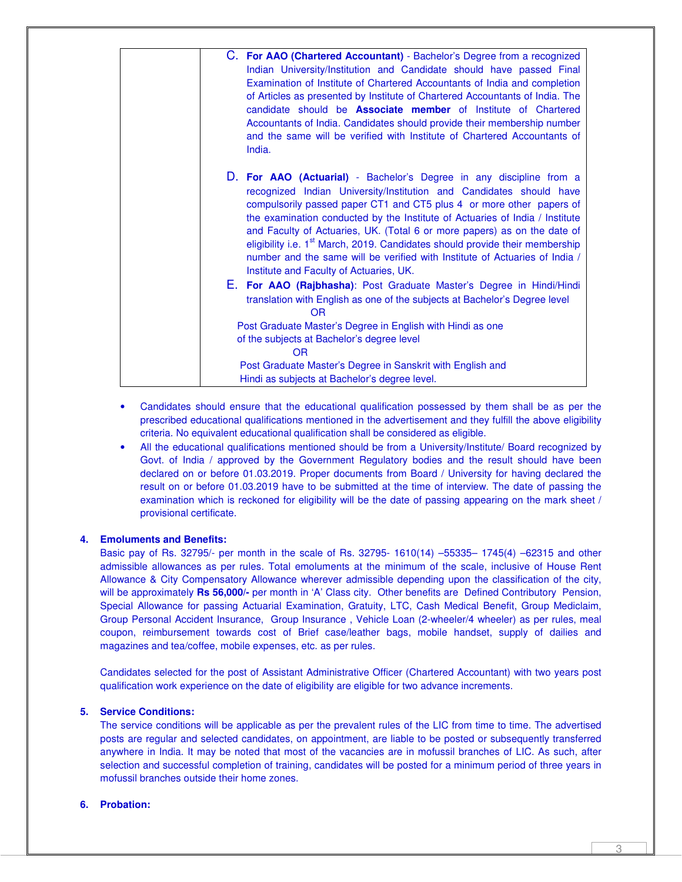| C. For AAO (Chartered Accountant) - Bachelor's Degree from a recognized                  |
|------------------------------------------------------------------------------------------|
| Indian University/Institution and Candidate should have passed Final                     |
| Examination of Institute of Chartered Accountants of India and completion                |
| of Articles as presented by Institute of Chartered Accountants of India. The             |
| candidate should be <b>Associate member</b> of Institute of Chartered                    |
| Accountants of India. Candidates should provide their membership number                  |
| and the same will be verified with Institute of Chartered Accountants of                 |
| India.                                                                                   |
|                                                                                          |
| D. For AAO (Actuarial) - Bachelor's Degree in any discipline from a                      |
| recognized Indian University/Institution and Candidates should have                      |
| compulsorily passed paper CT1 and CT5 plus 4 or more other papers of                     |
| the examination conducted by the Institute of Actuaries of India / Institute             |
| and Faculty of Actuaries, UK. (Total 6 or more papers) as on the date of                 |
| eligibility i.e. 1 <sup>st</sup> March, 2019. Candidates should provide their membership |
| number and the same will be verified with Institute of Actuaries of India /              |
| Institute and Faculty of Actuaries, UK.                                                  |
| E. For AAO (Rajbhasha): Post Graduate Master's Degree in Hindi/Hindi                     |
| translation with English as one of the subjects at Bachelor's Degree level               |
| <b>OR</b>                                                                                |
| Post Graduate Master's Degree in English with Hindi as one                               |
| of the subjects at Bachelor's degree level                                               |
| OR.                                                                                      |
| Post Graduate Master's Degree in Sanskrit with English and                               |
| Hindi as subjects at Bachelor's degree level.                                            |

- Candidates should ensure that the educational qualification possessed by them shall be as per the prescribed educational qualifications mentioned in the advertisement and they fulfill the above eligibility criteria. No equivalent educational qualification shall be considered as eligible.
- All the educational qualifications mentioned should be from a University/Institute/ Board recognized by Govt. of India / approved by the Government Regulatory bodies and the result should have been declared on or before 01.03.2019. Proper documents from Board / University for having declared the result on or before 01.03.2019 have to be submitted at the time of interview. The date of passing the examination which is reckoned for eligibility will be the date of passing appearing on the mark sheet / provisional certificate.

#### **4. Emoluments and Benefits:**

Basic pay of Rs. 32795/- per month in the scale of Rs. 32795- 1610(14) –55335– 1745(4) –62315 and other admissible allowances as per rules. Total emoluments at the minimum of the scale, inclusive of House Rent Allowance & City Compensatory Allowance wherever admissible depending upon the classification of the city, will be approximately **Rs 56,000/-** per month in 'A' Class city. Other benefits are Defined Contributory Pension, Special Allowance for passing Actuarial Examination, Gratuity, LTC, Cash Medical Benefit, Group Mediclaim, Group Personal Accident Insurance, Group Insurance , Vehicle Loan (2-wheeler/4 wheeler) as per rules, meal coupon, reimbursement towards cost of Brief case/leather bags, mobile handset, supply of dailies and magazines and tea/coffee, mobile expenses, etc. as per rules.

Candidates selected for the post of Assistant Administrative Officer (Chartered Accountant) with two years post qualification work experience on the date of eligibility are eligible for two advance increments.

# **5. Service Conditions:**

The service conditions will be applicable as per the prevalent rules of the LIC from time to time. The advertised posts are regular and selected candidates, on appointment, are liable to be posted or subsequently transferred anywhere in India. It may be noted that most of the vacancies are in mofussil branches of LIC. As such, after selection and successful completion of training, candidates will be posted for a minimum period of three years in mofussil branches outside their home zones.

#### **6. Probation:**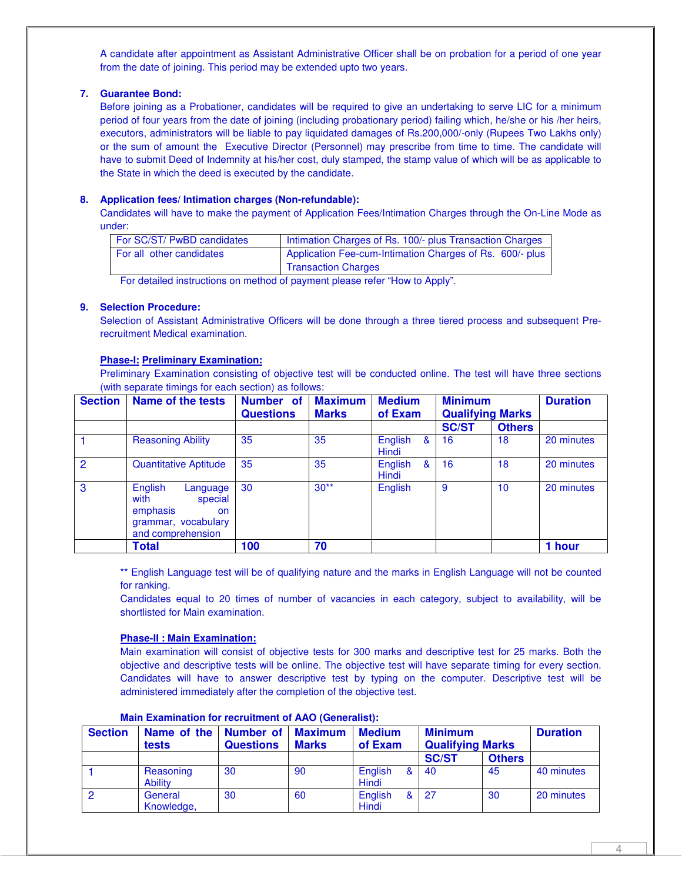A candidate after appointment as Assistant Administrative Officer shall be on probation for a period of one year from the date of joining. This period may be extended upto two years.

## **7. Guarantee Bond:**

Before joining as a Probationer, candidates will be required to give an undertaking to serve LIC for a minimum period of four years from the date of joining (including probationary period) failing which, he/she or his /her heirs, executors, administrators will be liable to pay liquidated damages of Rs.200,000/-only (Rupees Two Lakhs only) or the sum of amount the Executive Director (Personnel) may prescribe from time to time. The candidate will have to submit Deed of Indemnity at his/her cost, duly stamped, the stamp value of which will be as applicable to the State in which the deed is executed by the candidate.

## **8. Application fees/ Intimation charges (Non-refundable):**

Candidates will have to make the payment of Application Fees/Intimation Charges through the On-Line Mode as under:

| For SC/ST/ PwBD candidates | Intimation Charges of Rs. 100/- plus Transaction Charges |
|----------------------------|----------------------------------------------------------|
| For all other candidates   | Application Fee-cum-Intimation Charges of Rs. 600/- plus |
|                            | <b>Transaction Charges</b>                               |

For detailed instructions on method of payment please refer "How to Apply".

#### **9. Selection Procedure:**

Selection of Assistant Administrative Officers will be done through a three tiered process and subsequent Prerecruitment Medical examination.

## **Phase-I: Preliminary Examination:**

Preliminary Examination consisting of objective test will be conducted online. The test will have three sections (with separate timings for each section) as follows:

| <b>Section</b> | <b>Name of the tests</b>                                                                             | Number of<br><b>Questions</b> | <b>Maximum</b><br><b>Marks</b> | <b>Medium</b><br>of Exam     | <b>Minimum</b><br><b>Qualifying Marks</b> |               | <b>Duration</b> |
|----------------|------------------------------------------------------------------------------------------------------|-------------------------------|--------------------------------|------------------------------|-------------------------------------------|---------------|-----------------|
|                |                                                                                                      |                               |                                |                              | <b>SC/ST</b>                              | <b>Others</b> |                 |
|                | <b>Reasoning Ability</b>                                                                             | 35                            | 35                             | English<br>&<br><b>Hindi</b> | 16                                        | 18            | 20 minutes      |
| $\overline{2}$ | <b>Quantitative Aptitude</b>                                                                         | 35                            | 35                             | English<br>&<br>Hindi        | 16                                        | 18            | 20 minutes      |
| 3              | English<br>Language<br>with<br>special<br>emphasis<br>on<br>grammar, vocabulary<br>and comprehension | 30                            | $30**$                         | English                      | 9                                         | 10            | 20 minutes      |
|                | <b>Total</b>                                                                                         | 100                           | 70                             |                              |                                           |               | 1 hour          |

\*\* English Language test will be of qualifying nature and the marks in English Language will not be counted for ranking.

Candidates equal to 20 times of number of vacancies in each category, subject to availability, will be shortlisted for Main examination.

#### **Phase-II : Main Examination:**

Main examination will consist of objective tests for 300 marks and descriptive test for 25 marks. Both the objective and descriptive tests will be online. The objective test will have separate timing for every section. Candidates will have to answer descriptive test by typing on the computer. Descriptive test will be administered immediately after the completion of the objective test.

| <b>Section</b> | Name of the   Number of  <br>tests | <b>Questions</b> | <b>Maximum</b><br><b>Marks</b> | <b>Medium</b><br>of Exam | <b>Minimum</b><br><b>Qualifying Marks</b> |               | <b>Duration</b> |
|----------------|------------------------------------|------------------|--------------------------------|--------------------------|-------------------------------------------|---------------|-----------------|
|                |                                    |                  |                                |                          | <b>SC/ST</b>                              | <b>Others</b> |                 |
|                | Reasoning<br><b>Ability</b>        | 30               | 90                             | English<br>8<br>Hindi    | 40                                        | 45            | 40 minutes      |
|                | General<br>Knowledge,              | 30               | 60                             | English<br>8<br>Hindi    | -27                                       | 30            | 20 minutes      |

#### **Main Examination for recruitment of AAO (Generalist):**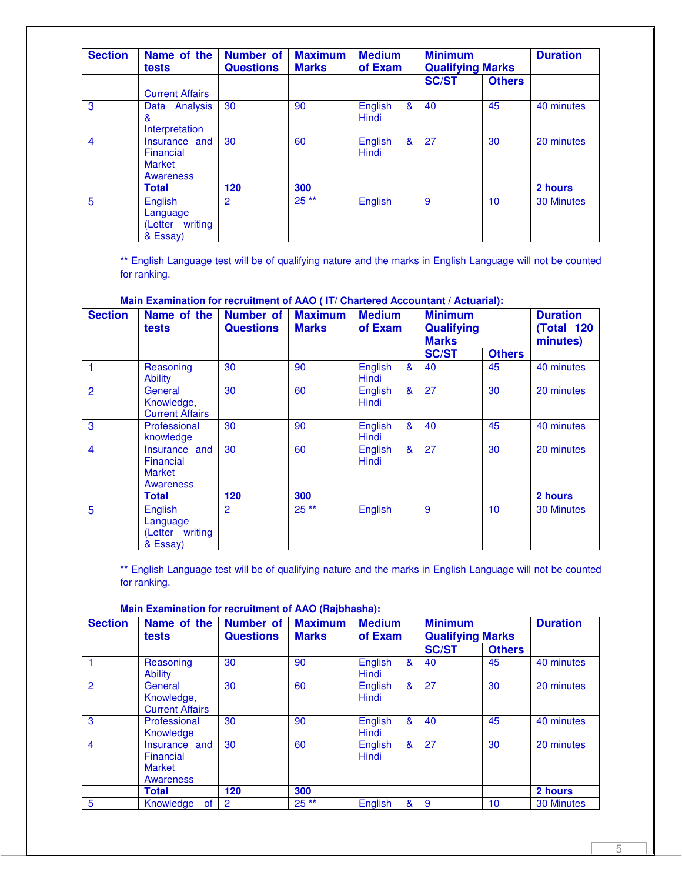| <b>Section</b> | <b>Maximum</b><br>Name of the<br><b>Number of</b><br><b>Medium</b> |                  |              | <b>Minimum</b>                              | <b>Duration</b>         |               |                   |
|----------------|--------------------------------------------------------------------|------------------|--------------|---------------------------------------------|-------------------------|---------------|-------------------|
|                | tests                                                              | <b>Questions</b> | <b>Marks</b> | of Exam                                     | <b>Qualifying Marks</b> |               |                   |
|                |                                                                    |                  |              |                                             | <b>SC/ST</b>            | <b>Others</b> |                   |
|                | <b>Current Affairs</b>                                             |                  |              |                                             |                         |               |                   |
| 3              | Analysis<br>Data<br>&<br>Interpretation                            | 30               | 90           | English<br>$\boldsymbol{8}$<br><b>Hindi</b> | 40                      | 45            | 40 minutes        |
| $\overline{4}$ | Insurance and<br>Financial<br><b>Market</b><br><b>Awareness</b>    | 30               | 60           | English<br>&<br><b>Hindi</b>                | 27                      | 30            | 20 minutes        |
|                | <b>Total</b>                                                       | 120              | 300          |                                             |                         |               | 2 hours           |
| 5              | English<br>Language<br>(Letter writing<br>& Essay)                 | 2                | $25**$       | English                                     | 9                       | 10            | <b>30 Minutes</b> |

**\*\*** English Language test will be of qualifying nature and the marks in English Language will not be counted for ranking.

| <b>Section</b> | Name of the<br>tests                                     | Number of<br><b>Questions</b> | <b>Maximum</b><br><b>Marks</b> | <b>Medium</b><br>of Exam | <b>Minimum</b><br>Qualifying<br><b>Marks</b> |               | <b>Duration</b><br><b>(Total 120)</b><br>minutes) |
|----------------|----------------------------------------------------------|-------------------------------|--------------------------------|--------------------------|----------------------------------------------|---------------|---------------------------------------------------|
|                |                                                          |                               |                                |                          | <b>SC/ST</b>                                 | <b>Others</b> |                                                   |
| 1              | Reasoning<br><b>Ability</b>                              | 30                            | 90                             | English<br>&<br>Hindi    | 40                                           | 45            | 40 minutes                                        |
| $\overline{2}$ | General<br>Knowledge,<br><b>Current Affairs</b>          | 30                            | 60                             | &<br>English<br>Hindi    | 27                                           | 30            | 20 minutes                                        |
| 3              | Professional<br>knowledge                                | 30                            | 90                             | English<br>&<br>Hindi    | 40                                           | 45            | 40 minutes                                        |
| $\overline{4}$ | Insurance and<br>Financial<br><b>Market</b><br>Awareness | 30                            | 60                             | &<br>English<br>Hindi    | 27                                           | 30            | 20 minutes                                        |
|                | <b>Total</b>                                             | 120                           | 300                            |                          |                                              |               | 2 hours                                           |
| 5              | English<br>Language<br>(Letter writing<br>& Essay)       | 2                             | $25**$                         | English                  | 9                                            | 10            | <b>30 Minutes</b>                                 |

\*\* English Language test will be of qualifying nature and the marks in English Language will not be counted for ranking.

**Main Examination for recruitment of AAO (Rajbhasha):** 

| <b>Section</b> | Name of the<br>tests                                            | <b>Number of</b><br><b>Questions</b> | <b>Maximum</b><br><b>Medium</b><br>of Exam<br><b>Marks</b> |                  |   | <b>Minimum</b><br><b>Qualifying Marks</b> |               | <b>Duration</b>   |
|----------------|-----------------------------------------------------------------|--------------------------------------|------------------------------------------------------------|------------------|---|-------------------------------------------|---------------|-------------------|
|                |                                                                 |                                      |                                                            |                  |   | <b>SC/ST</b>                              | <b>Others</b> |                   |
|                | Reasoning<br><b>Ability</b>                                     | 30                                   | 90                                                         | English<br>Hindi | & | 40                                        | 45            | 40 minutes        |
| $\overline{2}$ | General<br>Knowledge,<br><b>Current Affairs</b>                 | 30                                   | 60                                                         | English<br>Hindi | & | 27                                        | 30            | 20 minutes        |
| 3              | Professional<br>Knowledge                                       | 30                                   | 90                                                         | English<br>Hindi | & | 40                                        | 45            | 40 minutes        |
| $\overline{4}$ | Insurance and<br>Financial<br><b>Market</b><br><b>Awareness</b> | 30                                   | 60                                                         | English<br>Hindi | & | 27                                        | 30            | 20 minutes        |
|                | <b>Total</b>                                                    | 120                                  | 300                                                        |                  |   |                                           |               | 2 hours           |
| 5              | Knowledge<br>of                                                 | $\overline{2}$                       | $25**$                                                     | English          | & | -9                                        | 10            | <b>30 Minutes</b> |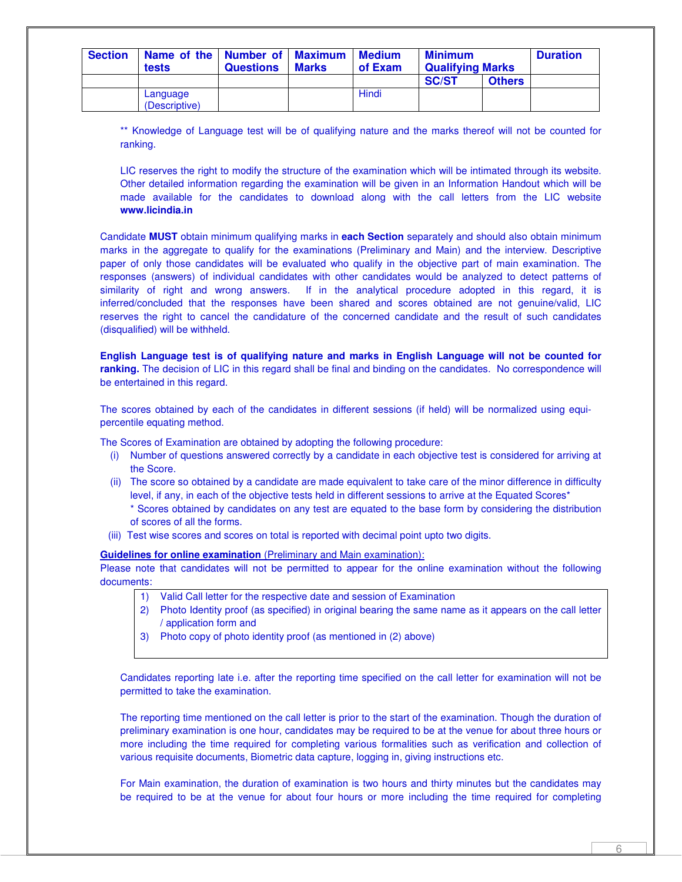| <b>Section</b> | Name of the   Number of   Maximum   Medium<br>tests | <b>Questions</b> | <b>Marks</b> | of Exam | <b>Minimum</b><br><b>Qualifying Marks</b> |               | <b>Duration</b> |
|----------------|-----------------------------------------------------|------------------|--------------|---------|-------------------------------------------|---------------|-----------------|
|                |                                                     |                  |              |         | <b>SC/ST</b>                              | <b>Others</b> |                 |
|                | Language<br>(Descriptive)                           |                  |              | Hindi   |                                           |               |                 |

\*\* Knowledge of Language test will be of qualifying nature and the marks thereof will not be counted for ranking.

LIC reserves the right to modify the structure of the examination which will be intimated through its website. Other detailed information regarding the examination will be given in an Information Handout which will be made available for the candidates to download along with the call letters from the LIC website **www.licindia.in** 

Candidate **MUST** obtain minimum qualifying marks in **each Section** separately and should also obtain minimum marks in the aggregate to qualify for the examinations (Preliminary and Main) and the interview. Descriptive paper of only those candidates will be evaluated who qualify in the objective part of main examination. The responses (answers) of individual candidates with other candidates would be analyzed to detect patterns of similarity of right and wrong answers. If in the analytical procedure adopted in this regard, it is inferred/concluded that the responses have been shared and scores obtained are not genuine/valid, LIC reserves the right to cancel the candidature of the concerned candidate and the result of such candidates (disqualified) will be withheld.

**English Language test is of qualifying nature and marks in English Language will not be counted for ranking.** The decision of LIC in this regard shall be final and binding on the candidates. No correspondence will be entertained in this regard.

The scores obtained by each of the candidates in different sessions (if held) will be normalized using equipercentile equating method.

The Scores of Examination are obtained by adopting the following procedure:

- (i) Number of questions answered correctly by a candidate in each objective test is considered for arriving at the Score.
- (ii) The score so obtained by a candidate are made equivalent to take care of the minor difference in difficulty level, if any, in each of the objective tests held in different sessions to arrive at the Equated Scores\* \* Scores obtained by candidates on any test are equated to the base form by considering the distribution of scores of all the forms.
- (iii) Test wise scores and scores on total is reported with decimal point upto two digits.

**Guidelines for online examination** (Preliminary and Main examination):

Please note that candidates will not be permitted to appear for the online examination without the following documents:

- 1) Valid Call letter for the respective date and session of Examination
- 2) Photo Identity proof (as specified) in original bearing the same name as it appears on the call letter / application form and
- 3) Photo copy of photo identity proof (as mentioned in (2) above)

Candidates reporting late i.e. after the reporting time specified on the call letter for examination will not be permitted to take the examination.

The reporting time mentioned on the call letter is prior to the start of the examination. Though the duration of preliminary examination is one hour, candidates may be required to be at the venue for about three hours or more including the time required for completing various formalities such as verification and collection of various requisite documents, Biometric data capture, logging in, giving instructions etc.

For Main examination, the duration of examination is two hours and thirty minutes but the candidates may be required to be at the venue for about four hours or more including the time required for completing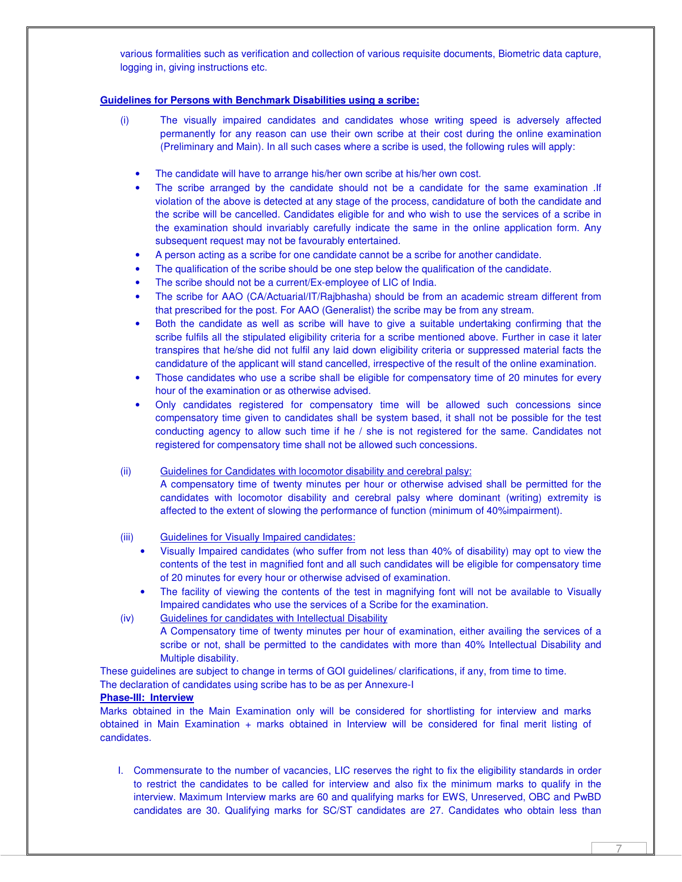various formalities such as verification and collection of various requisite documents, Biometric data capture, logging in, giving instructions etc.

## **Guidelines for Persons with Benchmark Disabilities using a scribe:**

- (i) The visually impaired candidates and candidates whose writing speed is adversely affected permanently for any reason can use their own scribe at their cost during the online examination (Preliminary and Main). In all such cases where a scribe is used, the following rules will apply:
	- The candidate will have to arrange his/her own scribe at his/her own cost.
	- The scribe arranged by the candidate should not be a candidate for the same examination .If violation of the above is detected at any stage of the process, candidature of both the candidate and the scribe will be cancelled. Candidates eligible for and who wish to use the services of a scribe in the examination should invariably carefully indicate the same in the online application form. Any subsequent request may not be favourably entertained.
	- A person acting as a scribe for one candidate cannot be a scribe for another candidate.
	- The qualification of the scribe should be one step below the qualification of the candidate.
	- The scribe should not be a current/Ex-employee of LIC of India.
	- The scribe for AAO (CA/Actuarial/IT/Rajbhasha) should be from an academic stream different from that prescribed for the post. For AAO (Generalist) the scribe may be from any stream.
	- Both the candidate as well as scribe will have to give a suitable undertaking confirming that the scribe fulfils all the stipulated eligibility criteria for a scribe mentioned above. Further in case it later transpires that he/she did not fulfil any laid down eligibility criteria or suppressed material facts the candidature of the applicant will stand cancelled, irrespective of the result of the online examination.
	- Those candidates who use a scribe shall be eligible for compensatory time of 20 minutes for every hour of the examination or as otherwise advised.
	- Only candidates registered for compensatory time will be allowed such concessions since compensatory time given to candidates shall be system based, it shall not be possible for the test conducting agency to allow such time if he / she is not registered for the same. Candidates not registered for compensatory time shall not be allowed such concessions.
- (ii) Guidelines for Candidates with locomotor disability and cerebral palsy:

A compensatory time of twenty minutes per hour or otherwise advised shall be permitted for the candidates with locomotor disability and cerebral palsy where dominant (writing) extremity is affected to the extent of slowing the performance of function (minimum of 40%impairment).

- (iii) Guidelines for Visually Impaired candidates:
	- Visually Impaired candidates (who suffer from not less than 40% of disability) may opt to view the contents of the test in magnified font and all such candidates will be eligible for compensatory time of 20 minutes for every hour or otherwise advised of examination.
	- The facility of viewing the contents of the test in magnifying font will not be available to Visually Impaired candidates who use the services of a Scribe for the examination.
- (iv) Guidelines for candidates with Intellectual Disability

A Compensatory time of twenty minutes per hour of examination, either availing the services of a scribe or not, shall be permitted to the candidates with more than 40% Intellectual Disability and Multiple disability.

These guidelines are subject to change in terms of GOI guidelines/ clarifications, if any, from time to time. The declaration of candidates using scribe has to be as per Annexure-I

#### **Phase-III: Interview**

Marks obtained in the Main Examination only will be considered for shortlisting for interview and marks obtained in Main Examination + marks obtained in Interview will be considered for final merit listing of candidates.

I. Commensurate to the number of vacancies, LIC reserves the right to fix the eligibility standards in order to restrict the candidates to be called for interview and also fix the minimum marks to qualify in the interview. Maximum Interview marks are 60 and qualifying marks for EWS, Unreserved, OBC and PwBD candidates are 30. Qualifying marks for SC/ST candidates are 27. Candidates who obtain less than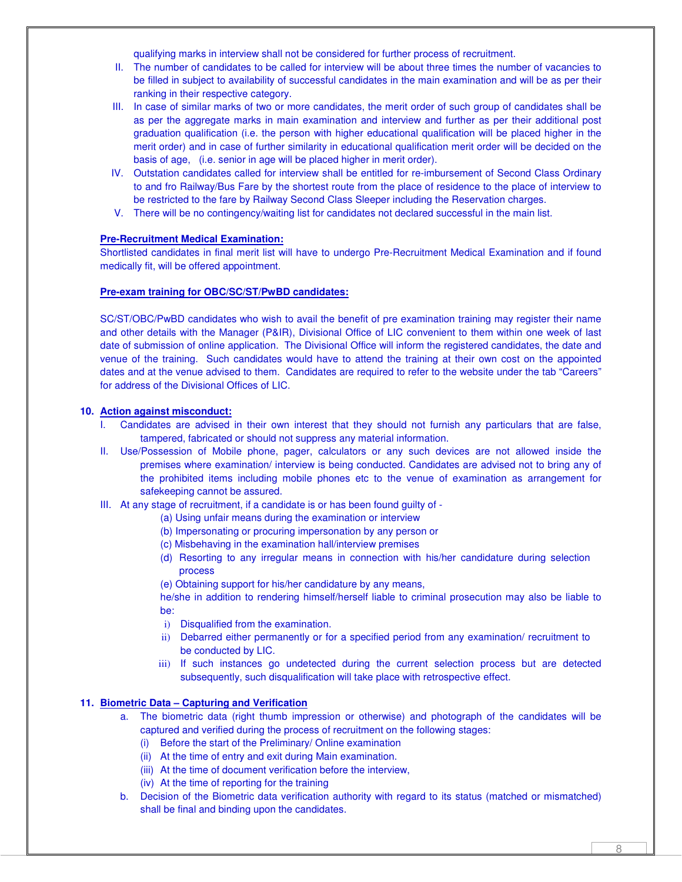qualifying marks in interview shall not be considered for further process of recruitment.

- II. The number of candidates to be called for interview will be about three times the number of vacancies to be filled in subject to availability of successful candidates in the main examination and will be as per their ranking in their respective category.
- III. In case of similar marks of two or more candidates, the merit order of such group of candidates shall be as per the aggregate marks in main examination and interview and further as per their additional post graduation qualification (i.e. the person with higher educational qualification will be placed higher in the merit order) and in case of further similarity in educational qualification merit order will be decided on the basis of age, (i.e. senior in age will be placed higher in merit order).
- IV. Outstation candidates called for interview shall be entitled for re-imbursement of Second Class Ordinary to and fro Railway/Bus Fare by the shortest route from the place of residence to the place of interview to be restricted to the fare by Railway Second Class Sleeper including the Reservation charges.
- V. There will be no contingency/waiting list for candidates not declared successful in the main list.

## **Pre-Recruitment Medical Examination:**

Shortlisted candidates in final merit list will have to undergo Pre-Recruitment Medical Examination and if found medically fit, will be offered appointment.

#### **Pre-exam training for OBC/SC/ST/PwBD candidates:**

SC/ST/OBC/PwBD candidates who wish to avail the benefit of pre examination training may register their name and other details with the Manager (P&IR), Divisional Office of LIC convenient to them within one week of last date of submission of online application. The Divisional Office will inform the registered candidates, the date and venue of the training. Such candidates would have to attend the training at their own cost on the appointed dates and at the venue advised to them. Candidates are required to refer to the website under the tab "Careers" for address of the Divisional Offices of LIC.

# **10. Action against misconduct:**

- I. Candidates are advised in their own interest that they should not furnish any particulars that are false, tampered, fabricated or should not suppress any material information.
- II. Use/Possession of Mobile phone, pager, calculators or any such devices are not allowed inside the premises where examination/ interview is being conducted. Candidates are advised not to bring any of the prohibited items including mobile phones etc to the venue of examination as arrangement for safekeeping cannot be assured.
- III. At any stage of recruitment, if a candidate is or has been found guilty of
	- (a) Using unfair means during the examination or interview
	- (b) Impersonating or procuring impersonation by any person or
	- (c) Misbehaving in the examination hall/interview premises
	- (d) Resorting to any irregular means in connection with his/her candidature during selection process
	- (e) Obtaining support for his/her candidature by any means,

he/she in addition to rendering himself/herself liable to criminal prosecution may also be liable to be:

- i) Disqualified from the examination.
- ii) Debarred either permanently or for a specified period from any examination/ recruitment to be conducted by LIC.
- iii) If such instances go undetected during the current selection process but are detected subsequently, such disqualification will take place with retrospective effect.

#### **11. Biometric Data – Capturing and Verification**

- a. The biometric data (right thumb impression or otherwise) and photograph of the candidates will be captured and verified during the process of recruitment on the following stages:
	- (i) Before the start of the Preliminary/ Online examination
	- (ii) At the time of entry and exit during Main examination.
	- (iii) At the time of document verification before the interview,
	- (iv) At the time of reporting for the training
- b. Decision of the Biometric data verification authority with regard to its status (matched or mismatched) shall be final and binding upon the candidates.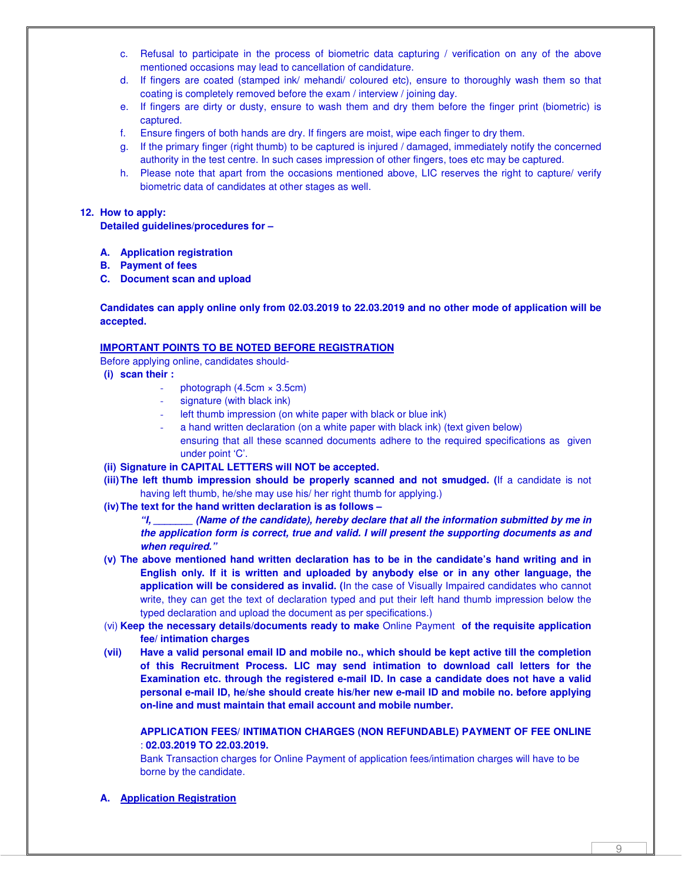- c. Refusal to participate in the process of biometric data capturing / verification on any of the above mentioned occasions may lead to cancellation of candidature.
- d. If fingers are coated (stamped ink/ mehandi/ coloured etc), ensure to thoroughly wash them so that coating is completely removed before the exam / interview / joining day.
- e. If fingers are dirty or dusty, ensure to wash them and dry them before the finger print (biometric) is captured.
- f. Ensure fingers of both hands are dry. If fingers are moist, wipe each finger to dry them.
- g. If the primary finger (right thumb) to be captured is injured / damaged, immediately notify the concerned authority in the test centre. In such cases impression of other fingers, toes etc may be captured.
- h. Please note that apart from the occasions mentioned above, LIC reserves the right to capture/ verify biometric data of candidates at other stages as well.

## **12. How to apply:**

**Detailed guidelines/procedures for –** 

- **A. Application registration**
- **B. Payment of fees**
- **C. Document scan and upload**

## **Candidates can apply online only from 02.03.2019 to 22.03.2019 and no other mode of application will be accepted.**

## **IMPORTANT POINTS TO BE NOTED BEFORE REGISTRATION**

Before applying online, candidates should-

- **(i) scan their :** 
	- photograph  $(4.5cm \times 3.5cm)$
	- signature (with black ink)
	- left thumb impression (on white paper with black or blue ink)
	- a hand written declaration (on a white paper with black ink) (text given below) ensuring that all these scanned documents adhere to the required specifications as given under point 'C'.
- **(ii) Signature in CAPITAL LETTERS will NOT be accepted.**
- **(iii) The left thumb impression should be properly scanned and not smudged. (**If a candidate is not having left thumb, he/she may use his/ her right thumb for applying.)
- **(iv) The text for the hand written declaration is as follows**

**"I, \_\_\_\_\_\_\_ (Name of the candidate), hereby declare that all the information submitted by me in the application form is correct, true and valid. I will present the supporting documents as and when required."** 

- **(v) The above mentioned hand written declaration has to be in the candidate's hand writing and in English only. If it is written and uploaded by anybody else or in any other language, the application will be considered as invalid. (**In the case of Visually Impaired candidates who cannot write, they can get the text of declaration typed and put their left hand thumb impression below the typed declaration and upload the document as per specifications.)
- (vi) **Keep the necessary details/documents ready to make** Online Payment **of the requisite application fee/ intimation charges**
- **(vii) Have a valid personal email ID and mobile no., which should be kept active till the completion of this Recruitment Process. LIC may send intimation to download call letters for the Examination etc. through the registered e-mail ID. In case a candidate does not have a valid personal e-mail ID, he/she should create his/her new e-mail ID and mobile no. before applying on-line and must maintain that email account and mobile number.**

## **APPLICATION FEES/ INTIMATION CHARGES (NON REFUNDABLE) PAYMENT OF FEE ONLINE** : **02.03.2019 TO 22.03.2019.**

Bank Transaction charges for Online Payment of application fees/intimation charges will have to be borne by the candidate.

**A. Application Registration**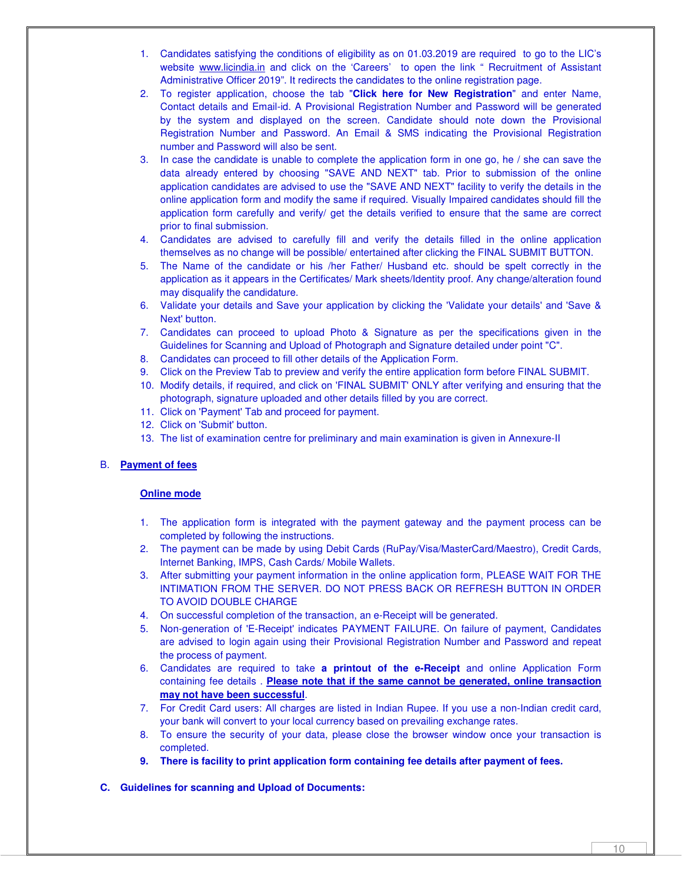- 1. Candidates satisfying the conditions of eligibility as on 01.03.2019 are required to go to the LIC's website www.licindia.in and click on the 'Careers' to open the link " Recruitment of Assistant Administrative Officer 2019". It redirects the candidates to the online registration page.
- 2. To register application, choose the tab "**Click here for New Registration**" and enter Name, Contact details and Email-id. A Provisional Registration Number and Password will be generated by the system and displayed on the screen. Candidate should note down the Provisional Registration Number and Password. An Email & SMS indicating the Provisional Registration number and Password will also be sent.
- 3. In case the candidate is unable to complete the application form in one go, he / she can save the data already entered by choosing "SAVE AND NEXT" tab. Prior to submission of the online application candidates are advised to use the "SAVE AND NEXT" facility to verify the details in the online application form and modify the same if required. Visually Impaired candidates should fill the application form carefully and verify/ get the details verified to ensure that the same are correct prior to final submission.
- 4. Candidates are advised to carefully fill and verify the details filled in the online application themselves as no change will be possible/ entertained after clicking the FINAL SUBMIT BUTTON.
- 5. The Name of the candidate or his /her Father/ Husband etc. should be spelt correctly in the application as it appears in the Certificates/ Mark sheets/Identity proof. Any change/alteration found may disqualify the candidature.
- 6. Validate your details and Save your application by clicking the 'Validate your details' and 'Save & Next' button.
- 7. Candidates can proceed to upload Photo & Signature as per the specifications given in the Guidelines for Scanning and Upload of Photograph and Signature detailed under point "C".
- 8. Candidates can proceed to fill other details of the Application Form.
- 9. Click on the Preview Tab to preview and verify the entire application form before FINAL SUBMIT.
- 10. Modify details, if required, and click on 'FINAL SUBMIT' ONLY after verifying and ensuring that the photograph, signature uploaded and other details filled by you are correct.
- 11. Click on 'Payment' Tab and proceed for payment.
- 12. Click on 'Submit' button.
- 13. The list of examination centre for preliminary and main examination is given in Annexure-II

# B. **Payment of fees**

#### **Online mode**

- 1. The application form is integrated with the payment gateway and the payment process can be completed by following the instructions.
- 2. The payment can be made by using Debit Cards (RuPay/Visa/MasterCard/Maestro), Credit Cards, Internet Banking, IMPS, Cash Cards/ Mobile Wallets.
- 3. After submitting your payment information in the online application form, PLEASE WAIT FOR THE INTIMATION FROM THE SERVER. DO NOT PRESS BACK OR REFRESH BUTTON IN ORDER TO AVOID DOUBLE CHARGE
- 4. On successful completion of the transaction, an e-Receipt will be generated.
- 5. Non-generation of 'E-Receipt' indicates PAYMENT FAILURE. On failure of payment, Candidates are advised to login again using their Provisional Registration Number and Password and repeat the process of payment.
- 6. Candidates are required to take **a printout of the e-Receipt** and online Application Form containing fee details . **Please note that if the same cannot be generated, online transaction may not have been successful**.
- 7. For Credit Card users: All charges are listed in Indian Rupee. If you use a non-Indian credit card, your bank will convert to your local currency based on prevailing exchange rates.
- 8. To ensure the security of your data, please close the browser window once your transaction is completed.
- **9. There is facility to print application form containing fee details after payment of fees.**
- **C. Guidelines for scanning and Upload of Documents:**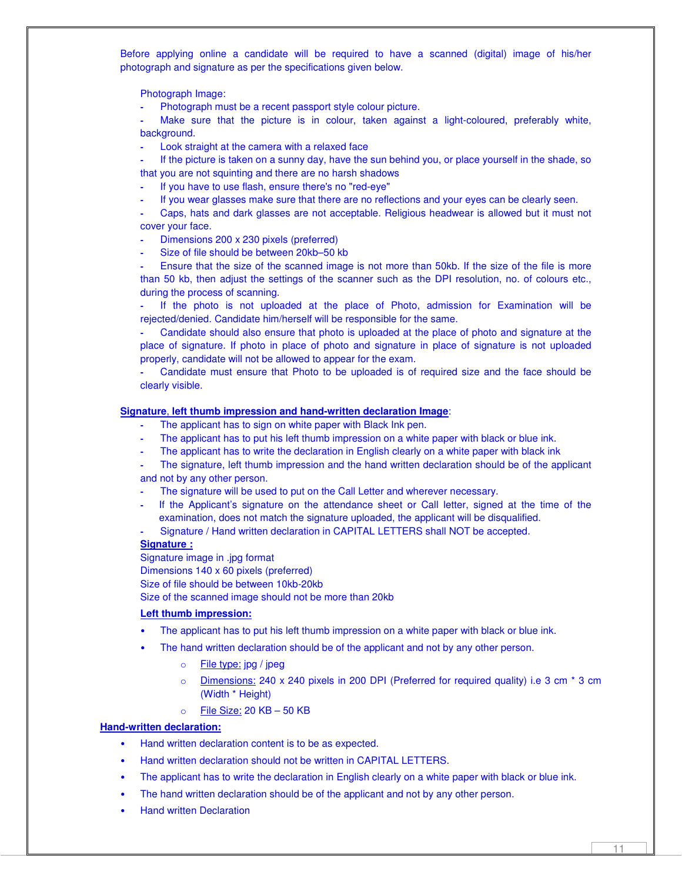Before applying online a candidate will be required to have a scanned (digital) image of his/her photograph and signature as per the specifications given below.

Photograph Image:

**-** Photograph must be a recent passport style colour picture.

Make sure that the picture is in colour, taken against a light-coloured, preferably white, background.

**-** Look straight at the camera with a relaxed face

**-** If the picture is taken on a sunny day, have the sun behind you, or place yourself in the shade, so that you are not squinting and there are no harsh shadows

**-** If you have to use flash, ensure there's no "red-eye"

**-** If you wear glasses make sure that there are no reflections and your eyes can be clearly seen.

**-** Caps, hats and dark glasses are not acceptable. Religious headwear is allowed but it must not cover your face.

- **-** Dimensions 200 x 230 pixels (preferred)
- **-** Size of file should be between 20kb–50 kb

**-** Ensure that the size of the scanned image is not more than 50kb. If the size of the file is more than 50 kb, then adjust the settings of the scanner such as the DPI resolution, no. of colours etc., during the process of scanning.

**-** If the photo is not uploaded at the place of Photo, admission for Examination will be rejected/denied. Candidate him/herself will be responsible for the same.

**-** Candidate should also ensure that photo is uploaded at the place of photo and signature at the place of signature. If photo in place of photo and signature in place of signature is not uploaded properly, candidate will not be allowed to appear for the exam.

**-** Candidate must ensure that Photo to be uploaded is of required size and the face should be clearly visible.

#### **Signature**, **left thumb impression and hand-written declaration Image**:

- **-** The applicant has to sign on white paper with Black Ink pen.
- **-** The applicant has to put his left thumb impression on a white paper with black or blue ink.
- **-** The applicant has to write the declaration in English clearly on a white paper with black ink

**-** The signature, left thumb impression and the hand written declaration should be of the applicant and not by any other person.

- **-** The signature will be used to put on the Call Letter and wherever necessary.
- **-** If the Applicant's signature on the attendance sheet or Call letter, signed at the time of the examination, does not match the signature uploaded, the applicant will be disqualified.
- **-** Signature / Hand written declaration in CAPITAL LETTERS shall NOT be accepted.

#### **Signature :**

Signature image in .jpg format Dimensions 140 x 60 pixels (preferred) Size of file should be between 10kb-20kb Size of the scanned image should not be more than 20kb

#### **Left thumb impression:**

- The applicant has to put his left thumb impression on a white paper with black or blue ink.
- The hand written declaration should be of the applicant and not by any other person.
	- o File type: jpg / jpeg
	- o Dimensions: 240 x 240 pixels in 200 DPI (Preferred for required quality) i.e 3 cm \* 3 cm (Width \* Height)
	- o File Size: 20 KB 50 KB

#### **Hand-written declaration:**

- Hand written declaration content is to be as expected.
- Hand written declaration should not be written in CAPITAL LETTERS.
- The applicant has to write the declaration in English clearly on a white paper with black or blue ink.
- The hand written declaration should be of the applicant and not by any other person.
- Hand written Declaration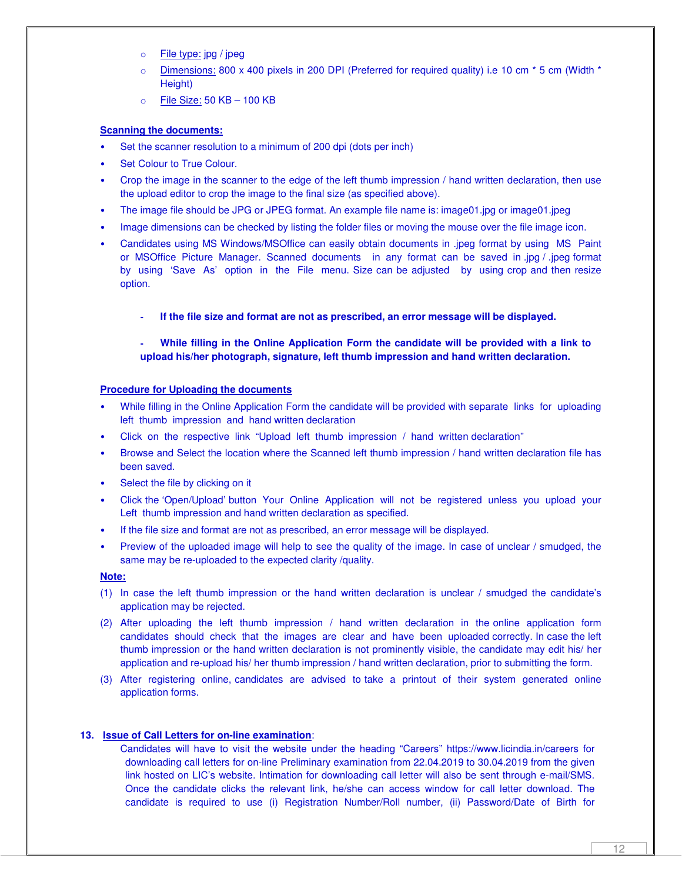- o **File type:** jpg / jpeg
- $\circ$  Dimensions: 800 x 400 pixels in 200 DPI (Preferred for required quality) i.e 10 cm  $*$  5 cm (Width  $*$ Height)
- $\circ$  File Size: 50 KB 100 KB

## **Scanning the documents:**

- Set the scanner resolution to a minimum of 200 dpi (dots per inch)
- Set Colour to True Colour.
- Crop the image in the scanner to the edge of the left thumb impression / hand written declaration, then use the upload editor to crop the image to the final size (as specified above).
- The image file should be JPG or JPEG format. An example file name is: image01.jpg or image01.jpeg
- Image dimensions can be checked by listing the folder files or moving the mouse over the file image icon.
- Candidates using MS Windows/MSOffice can easily obtain documents in .jpeg format by using MS Paint or MSOffice Picture Manager. Scanned documents in any format can be saved in .jpg / .jpeg format by using 'Save As' option in the File menu. Size can be adjusted by using crop and then resize option.
	- **- If the file size and format are not as prescribed, an error message will be displayed.**

# **- While filling in the Online Application Form the candidate will be provided with a link to upload his/her photograph, signature, left thumb impression and hand written declaration.**

#### **Procedure for Uploading the documents**

- While filling in the Online Application Form the candidate will be provided with separate links for uploading left thumb impression and hand written declaration
- Click on the respective link "Upload left thumb impression / hand written declaration"
- Browse and Select the location where the Scanned left thumb impression / hand written declaration file has been saved.
- Select the file by clicking on it
- Click the 'Open/Upload' button Your Online Application will not be registered unless you upload your Left thumb impression and hand written declaration as specified.
- If the file size and format are not as prescribed, an error message will be displayed.
- Preview of the uploaded image will help to see the quality of the image. In case of unclear / smudged, the same may be re-uploaded to the expected clarity /quality.

#### **Note:**

- (1) In case the left thumb impression or the hand written declaration is unclear / smudged the candidate's application may be rejected.
- (2) After uploading the left thumb impression / hand written declaration in the online application form candidates should check that the images are clear and have been uploaded correctly. In case the left thumb impression or the hand written declaration is not prominently visible, the candidate may edit his/ her application and re-upload his/ her thumb impression / hand written declaration, prior to submitting the form.
- (3) After registering online, candidates are advised to take a printout of their system generated online application forms.

#### **13. Issue of Call Letters for on-line examination**:

Candidates will have to visit the website under the heading "Careers" https://www.licindia.in/careers for downloading call letters for on-line Preliminary examination from 22.04.2019 to 30.04.2019 from the given link hosted on LIC's website. Intimation for downloading call letter will also be sent through e-mail/SMS. Once the candidate clicks the relevant link, he/she can access window for call letter download. The candidate is required to use (i) Registration Number/Roll number, (ii) Password/Date of Birth for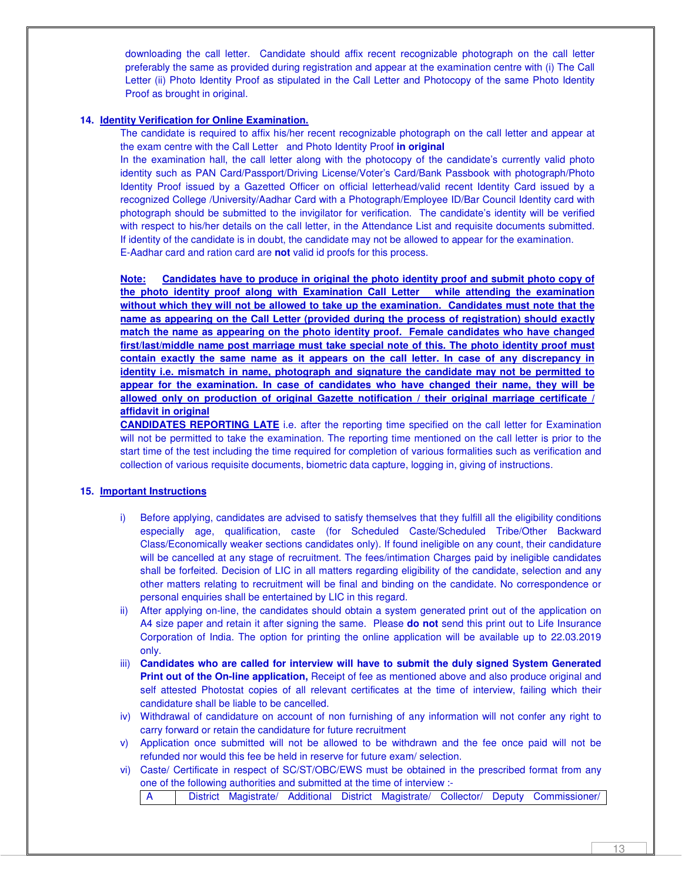downloading the call letter. Candidate should affix recent recognizable photograph on the call letter preferably the same as provided during registration and appear at the examination centre with (i) The Call Letter (ii) Photo Identity Proof as stipulated in the Call Letter and Photocopy of the same Photo Identity Proof as brought in original.

## **14. Identity Verification for Online Examination.**

The candidate is required to affix his/her recent recognizable photograph on the call letter and appear at the exam centre with the Call Letter and Photo Identity Proof **in original**

In the examination hall, the call letter along with the photocopy of the candidate's currently valid photo identity such as PAN Card/Passport/Driving License/Voter's Card/Bank Passbook with photograph/Photo Identity Proof issued by a Gazetted Officer on official letterhead/valid recent Identity Card issued by a recognized College /University/Aadhar Card with a Photograph/Employee ID/Bar Council Identity card with photograph should be submitted to the invigilator for verification. The candidate's identity will be verified with respect to his/her details on the call letter, in the Attendance List and requisite documents submitted. If identity of the candidate is in doubt, the candidate may not be allowed to appear for the examination. E-Aadhar card and ration card are **not** valid id proofs for this process.

**Note: Candidates have to produce in original the photo identity proof and submit photo copy of the photo identity proof along with Examination Call Letter while attending the examination without which they will not be allowed to take up the examination. Candidates must note that the name as appearing on the Call Letter (provided during the process of registration) should exactly match the name as appearing on the photo identity proof. Female candidates who have changed first/last/middle name post marriage must take special note of this. The photo identity proof must contain exactly the same name as it appears on the call letter. In case of any discrepancy in identity i.e. mismatch in name, photograph and signature the candidate may not be permitted to appear for the examination. In case of candidates who have changed their name, they will be allowed only on production of original Gazette notification / their original marriage certificate / affidavit in original**

**CANDIDATES REPORTING LATE** i.e. after the reporting time specified on the call letter for Examination will not be permitted to take the examination. The reporting time mentioned on the call letter is prior to the start time of the test including the time required for completion of various formalities such as verification and collection of various requisite documents, biometric data capture, logging in, giving of instructions.

#### **15. Important Instructions**

- i) Before applying, candidates are advised to satisfy themselves that they fulfill all the eligibility conditions especially age, qualification, caste (for Scheduled Caste/Scheduled Tribe/Other Backward Class/Economically weaker sections candidates only). If found ineligible on any count, their candidature will be cancelled at any stage of recruitment. The fees/intimation Charges paid by ineligible candidates shall be forfeited. Decision of LIC in all matters regarding eligibility of the candidate, selection and any other matters relating to recruitment will be final and binding on the candidate. No correspondence or personal enquiries shall be entertained by LIC in this regard.
- ii) After applying on-line, the candidates should obtain a system generated print out of the application on A4 size paper and retain it after signing the same. Please **do not** send this print out to Life Insurance Corporation of India. The option for printing the online application will be available up to 22.03.2019 only.
- iii) **Candidates who are called for interview will have to submit the duly signed System Generated Print out of the On-line application,** Receipt of fee as mentioned above and also produce original and self attested Photostat copies of all relevant certificates at the time of interview, failing which their candidature shall be liable to be cancelled.
- iv) Withdrawal of candidature on account of non furnishing of any information will not confer any right to carry forward or retain the candidature for future recruitment
- v) Application once submitted will not be allowed to be withdrawn and the fee once paid will not be refunded nor would this fee be held in reserve for future exam/ selection.
- vi) Caste/ Certificate in respect of SC/ST/OBC/EWS must be obtained in the prescribed format from any one of the following authorities and submitted at the time of interview :-

A District Magistrate/ Additional District Magistrate/ Collector/ Deputy Commissioner/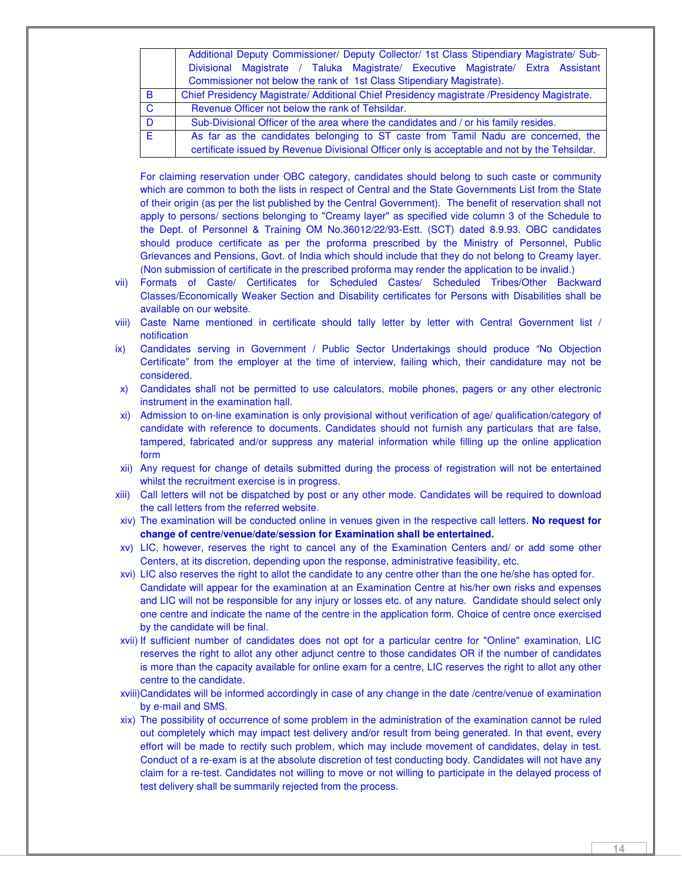|              | Additional Deputy Commissioner/ Deputy Collector/ 1st Class Stipendiary Magistrate/ Sub-                                                                                           |  |  |
|--------------|------------------------------------------------------------------------------------------------------------------------------------------------------------------------------------|--|--|
|              | Divisional Magistrate / Taluka Magistrate/ Executive Magistrate/ Extra Assistant<br>Commissioner not below the rank of 1st Class Stipendiary Magistrate).                          |  |  |
| B            | Chief Presidency Magistrate/ Additional Chief Presidency magistrate /Presidency Magistrate.                                                                                        |  |  |
| $\mathbf{C}$ | Revenue Officer not below the rank of Tehsildar.                                                                                                                                   |  |  |
| D            | Sub-Divisional Officer of the area where the candidates and / or his family resides.                                                                                               |  |  |
| F.           | As far as the candidates belonging to ST caste from Tamil Nadu are concerned, the<br>certificate issued by Revenue Divisional Officer only is acceptable and not by the Tehsildar. |  |  |

For claiming reservation under OBC category, candidates should belong to such caste or community which are common to both the lists in respect of Central and the State Governments List from the State of their origin (as per the list published by the Central Government). The benefit of reservation shall not apply to persons/ sections belonging to "Creamy layer" as specified vide column 3 of the Schedule to the Dept. of Personnel & Training OM No.36012/22/93-Estt. (SCT) dated 8.9.93. OBC candidates should produce certificate as per the proforma prescribed by the Ministry of Personnel, Public Grievances and Pensions, Govt. of India which should include that they do not belong to Creamy layer. (Non submission of certificate in the prescribed proforma may render the application to be invalid.)

- vii) Formats of Caste/ Certificates for Scheduled Castes/ Scheduled Tribes/Other Backward Classes/Economically Weaker Section and Disability certificates for Persons with Disabilities shall be available on our website.
- viii) Caste Name mentioned in certificate should tally letter by letter with Central Government list / notification
- ix) Candidates serving in Government / Public Sector Undertakings should produce "No Objection Certificate" from the employer at the time of interview, failing which, their candidature may not be considered.
- x) Candidates shall not be permitted to use calculators, mobile phones, pagers or any other electronic instrument in the examination hall.
- xi) Admission to on-line examination is only provisional without verification of age/ qualification/category of candidate with reference to documents. Candidates should not furnish any particulars that are false, tampered, fabricated and/or suppress any material information while filling up the online application form
- xii) Any request for change of details submitted during the process of registration will not be entertained whilst the recruitment exercise is in progress.
- xiii) Call letters will not be dispatched by post or any other mode. Candidates will be required to download the call letters from the referred website.
- xiv) The examination will be conducted online in venues given in the respective call letters. **No request for change of centre/venue/date/session for Examination shall be entertained.**
- xv) LIC, however, reserves the right to cancel any of the Examination Centers and/ or add some other Centers, at its discretion, depending upon the response, administrative feasibility, etc.
- xvi) LIC also reserves the right to allot the candidate to any centre other than the one he/she has opted for. Candidate will appear for the examination at an Examination Centre at his/her own risks and expenses and LIC will not be responsible for any injury or losses etc. of any nature. Candidate should select only one centre and indicate the name of the centre in the application form. Choice of centre once exercised by the candidate will be final.
- xvii) If sufficient number of candidates does not opt for a particular centre for "Online" examination, LIC reserves the right to allot any other adjunct centre to those candidates OR if the number of candidates is more than the capacity available for online exam for a centre, LIC reserves the right to allot any other centre to the candidate.
- xviii)Candidates will be informed accordingly in case of any change in the date /centre/venue of examination by e-mail and SMS.
- xix) The possibility of occurrence of some problem in the administration of the examination cannot be ruled out completely which may impact test delivery and/or result from being generated. In that event, every effort will be made to rectify such problem, which may include movement of candidates, delay in test. Conduct of a re-exam is at the absolute discretion of test conducting body. Candidates will not have any claim for a re-test. Candidates not willing to move or not willing to participate in the delayed process of test delivery shall be summarily rejected from the process.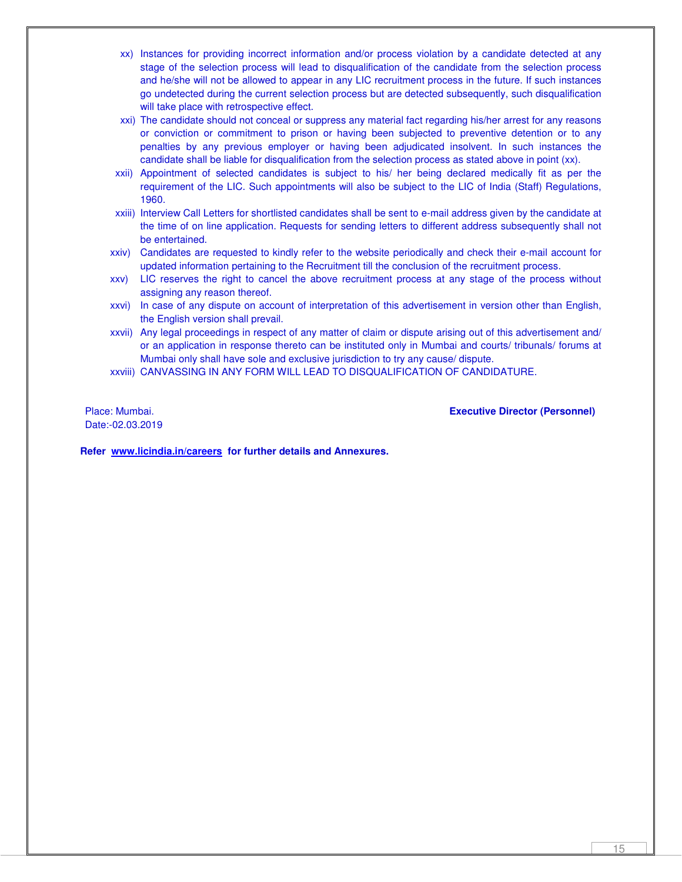- xx) Instances for providing incorrect information and/or process violation by a candidate detected at any stage of the selection process will lead to disqualification of the candidate from the selection process and he/she will not be allowed to appear in any LIC recruitment process in the future. If such instances go undetected during the current selection process but are detected subsequently, such disqualification will take place with retrospective effect.
- xxi) The candidate should not conceal or suppress any material fact regarding his/her arrest for any reasons or conviction or commitment to prison or having been subjected to preventive detention or to any penalties by any previous employer or having been adjudicated insolvent. In such instances the candidate shall be liable for disqualification from the selection process as stated above in point (xx).
- xxii) Appointment of selected candidates is subject to his/ her being declared medically fit as per the requirement of the LIC. Such appointments will also be subject to the LIC of India (Staff) Regulations, 1960.
- xxiii) Interview Call Letters for shortlisted candidates shall be sent to e-mail address given by the candidate at the time of on line application. Requests for sending letters to different address subsequently shall not be entertained.
- xxiv) Candidates are requested to kindly refer to the website periodically and check their e-mail account for updated information pertaining to the Recruitment till the conclusion of the recruitment process.
- xxv) LIC reserves the right to cancel the above recruitment process at any stage of the process without assigning any reason thereof.
- xxvi) In case of any dispute on account of interpretation of this advertisement in version other than English, the English version shall prevail.
- xxvii) Any legal proceedings in respect of any matter of claim or dispute arising out of this advertisement and/ or an application in response thereto can be instituted only in Mumbai and courts/ tribunals/ forums at Mumbai only shall have sole and exclusive jurisdiction to try any cause/ dispute.
- xxviii) CANVASSING IN ANY FORM WILL LEAD TO DISQUALIFICATION OF CANDIDATURE.

Date:-02.03.2019

Place: Mumbai. **Executive Director (Personnel)** 

**Refer www.licindia.in/careers for further details and Annexures.**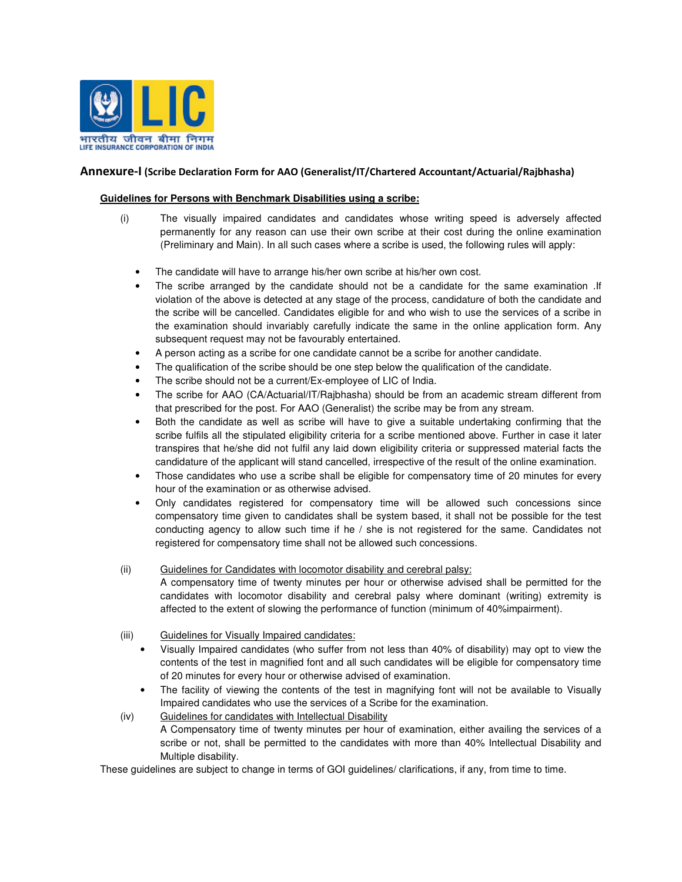

# Annexure-I (Scribe Declaration Form for AAO (Generalist/IT/Chartered Accountant/Actuarial/Rajbhasha)

## **Guidelines for Persons with Benchmark Disabilities using a scribe:**

- (i) The visually impaired candidates and candidates whose writing speed is adversely affected permanently for any reason can use their own scribe at their cost during the online examination (Preliminary and Main). In all such cases where a scribe is used, the following rules will apply:
	- The candidate will have to arrange his/her own scribe at his/her own cost.
	- The scribe arranged by the candidate should not be a candidate for the same examination .If violation of the above is detected at any stage of the process, candidature of both the candidate and the scribe will be cancelled. Candidates eligible for and who wish to use the services of a scribe in the examination should invariably carefully indicate the same in the online application form. Any subsequent request may not be favourably entertained.
	- A person acting as a scribe for one candidate cannot be a scribe for another candidate.
	- The qualification of the scribe should be one step below the qualification of the candidate.
	- The scribe should not be a current/Ex-employee of LIC of India.
	- The scribe for AAO (CA/Actuarial/IT/Rajbhasha) should be from an academic stream different from that prescribed for the post. For AAO (Generalist) the scribe may be from any stream.
	- Both the candidate as well as scribe will have to give a suitable undertaking confirming that the scribe fulfils all the stipulated eligibility criteria for a scribe mentioned above. Further in case it later transpires that he/she did not fulfil any laid down eligibility criteria or suppressed material facts the candidature of the applicant will stand cancelled, irrespective of the result of the online examination.
	- Those candidates who use a scribe shall be eligible for compensatory time of 20 minutes for every hour of the examination or as otherwise advised.
	- Only candidates registered for compensatory time will be allowed such concessions since compensatory time given to candidates shall be system based, it shall not be possible for the test conducting agency to allow such time if he / she is not registered for the same. Candidates not registered for compensatory time shall not be allowed such concessions.
- (ii) Guidelines for Candidates with locomotor disability and cerebral palsy: A compensatory time of twenty minutes per hour or otherwise advised shall be permitted for the candidates with locomotor disability and cerebral palsy where dominant (writing) extremity is affected to the extent of slowing the performance of function (minimum of 40%impairment).
- (iii) Guidelines for Visually Impaired candidates:
	- Visually Impaired candidates (who suffer from not less than 40% of disability) may opt to view the contents of the test in magnified font and all such candidates will be eligible for compensatory time of 20 minutes for every hour or otherwise advised of examination.
	- The facility of viewing the contents of the test in magnifying font will not be available to Visually Impaired candidates who use the services of a Scribe for the examination.
- (iv) Guidelines for candidates with Intellectual Disability A Compensatory time of twenty minutes per hour of examination, either availing the services of a scribe or not, shall be permitted to the candidates with more than 40% Intellectual Disability and Multiple disability.

These guidelines are subject to change in terms of GOI guidelines/ clarifications, if any, from time to time.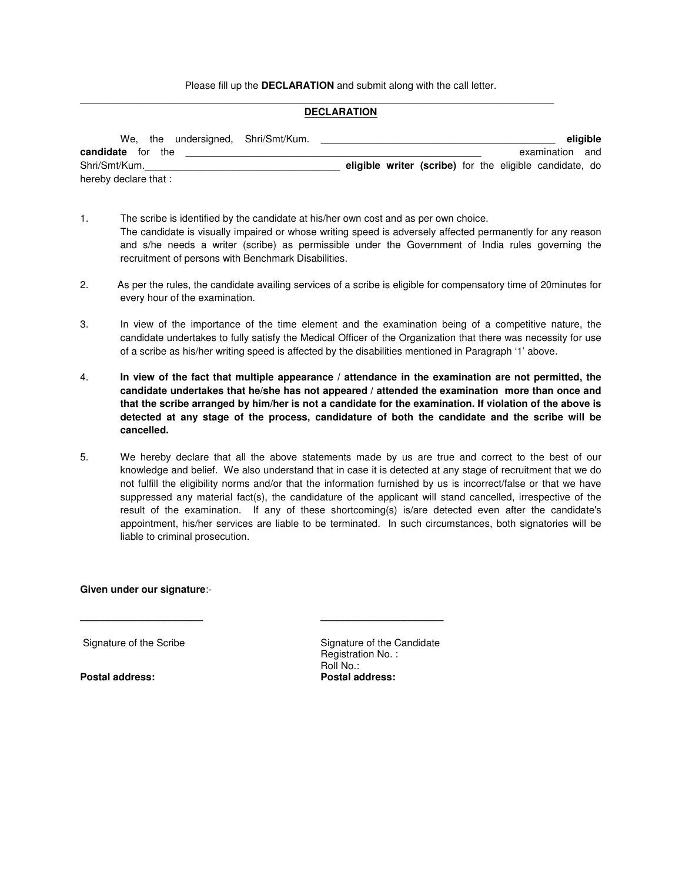Please fill up the **DECLARATION** and submit along with the call letter.

#### **DECLARATION**

\_\_\_\_\_\_\_\_\_\_\_\_\_\_\_\_\_\_\_\_\_\_\_\_\_\_\_\_\_\_\_\_\_\_\_\_\_\_\_\_\_\_\_\_\_\_\_\_\_\_\_\_\_\_\_\_\_\_\_\_\_\_\_\_\_\_\_\_\_\_\_\_\_\_\_\_\_\_\_\_\_\_\_\_\_

| We, the undersigned, Shri/Smt/Kum. |  |  |  |                                                                | eligible |
|------------------------------------|--|--|--|----------------------------------------------------------------|----------|
| <b>candidate</b> for the           |  |  |  | examination and                                                |          |
| Shri/Smt/Kum.                      |  |  |  | <b>eligible writer (scribe)</b> for the eligible candidate, do |          |
| hereby declare that:               |  |  |  |                                                                |          |

- 1. The scribe is identified by the candidate at his/her own cost and as per own choice. The candidate is visually impaired or whose writing speed is adversely affected permanently for any reason and s/he needs a writer (scribe) as permissible under the Government of India rules governing the recruitment of persons with Benchmark Disabilities.
- 2. As per the rules, the candidate availing services of a scribe is eligible for compensatory time of 20minutes for every hour of the examination.
- 3. In view of the importance of the time element and the examination being of a competitive nature, the candidate undertakes to fully satisfy the Medical Officer of the Organization that there was necessity for use of a scribe as his/her writing speed is affected by the disabilities mentioned in Paragraph '1' above.
- 4. **In view of the fact that multiple appearance / attendance in the examination are not permitted, the candidate undertakes that he/she has not appeared / attended the examination more than once and that the scribe arranged by him/her is not a candidate for the examination. If violation of the above is detected at any stage of the process, candidature of both the candidate and the scribe will be cancelled.**
- 5. We hereby declare that all the above statements made by us are true and correct to the best of our knowledge and belief. We also understand that in case it is detected at any stage of recruitment that we do not fulfill the eligibility norms and/or that the information furnished by us is incorrect/false or that we have suppressed any material fact(s), the candidature of the applicant will stand cancelled, irrespective of the result of the examination. If any of these shortcoming(s) is/are detected even after the candidate's appointment, his/her services are liable to be terminated. In such circumstances, both signatories will be liable to criminal prosecution.

**\_\_\_\_\_\_\_\_\_\_\_\_\_\_\_\_\_\_\_\_\_\_ \_\_\_\_\_\_\_\_\_\_\_\_\_\_\_\_\_\_\_\_\_\_** 

#### **Given under our signature**:-

Signature of the Scribe Signature of the Candidate Registration No. : Roll No.:<br>Postal address: the contract of the Postal address: **Postal address: Postal address:**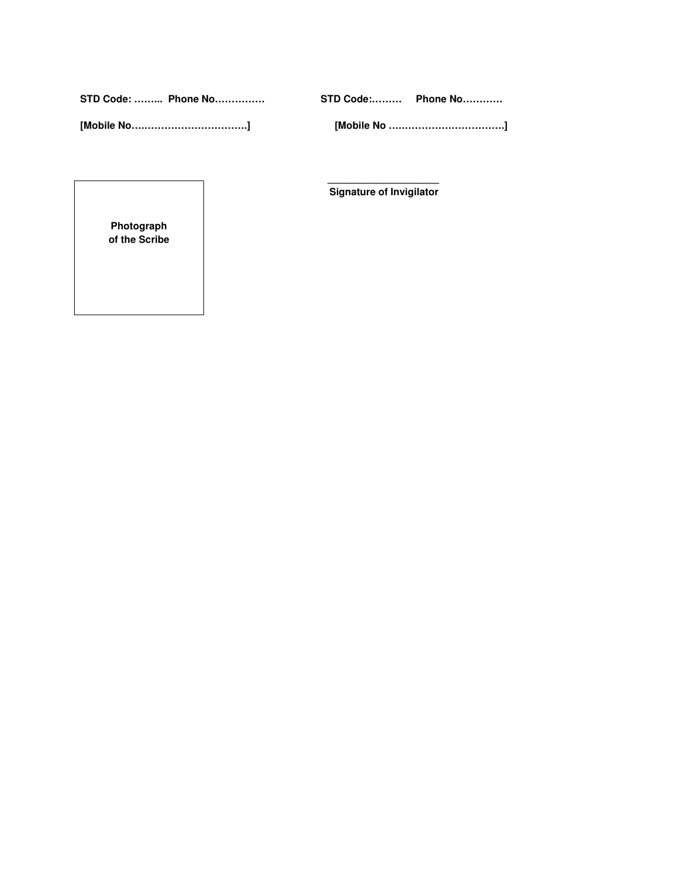**STD Code: ……... Phone No…………… STD Code:……… Phone No…………**

**[Mobile No….………………………….] [Mobile No ….………………………….]** 

 **Signature of Invigilator** 

 **\_\_\_\_\_\_\_\_\_\_\_\_\_\_\_\_\_\_\_\_** 

**Photograph of the Scribe**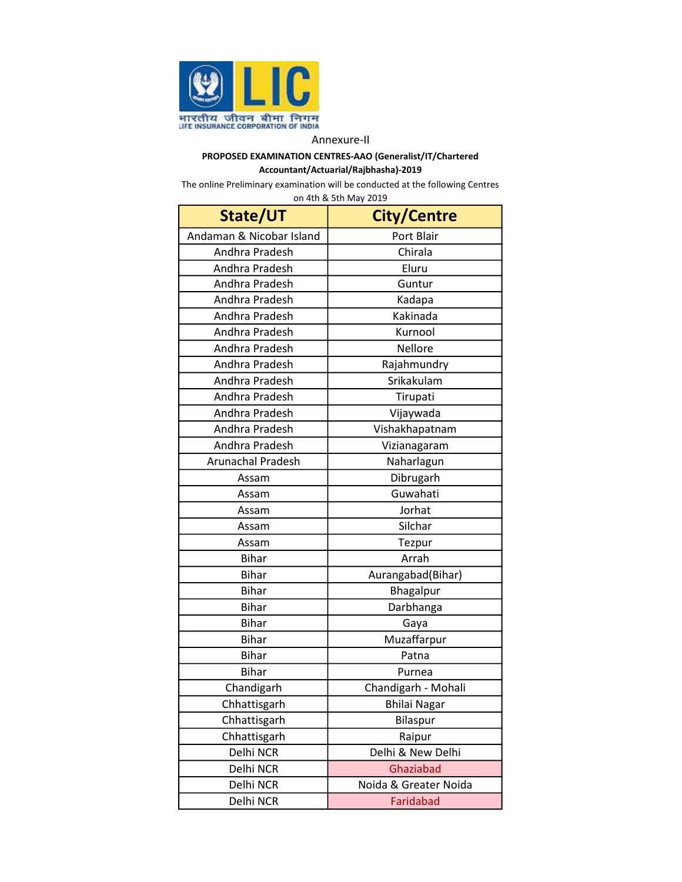

# PROPOSED EXAMINATION CENTRES-AAO (Generalist/IT/Chartered Accountant/Actuarial/Rajbhasha)-2019

| on 4th & 5th May 2019    |                       |  |  |  |  |
|--------------------------|-----------------------|--|--|--|--|
| State/UT                 | <b>City/Centre</b>    |  |  |  |  |
| Andaman & Nicobar Island | Port Blair            |  |  |  |  |
| Andhra Pradesh           | Chirala               |  |  |  |  |
| Andhra Pradesh           | Eluru                 |  |  |  |  |
| Andhra Pradesh           | Guntur                |  |  |  |  |
| Andhra Pradesh           | Kadapa                |  |  |  |  |
| Andhra Pradesh           | Kakinada              |  |  |  |  |
| Andhra Pradesh           | Kurnool               |  |  |  |  |
| Andhra Pradesh           | Nellore               |  |  |  |  |
| Andhra Pradesh           | Rajahmundry           |  |  |  |  |
| Andhra Pradesh           | Srikakulam            |  |  |  |  |
| Andhra Pradesh           | Tirupati              |  |  |  |  |
| Andhra Pradesh           | Vijaywada             |  |  |  |  |
| Andhra Pradesh           | Vishakhapatnam        |  |  |  |  |
| Andhra Pradesh           | Vizianagaram          |  |  |  |  |
| <b>Arunachal Pradesh</b> | Naharlagun            |  |  |  |  |
| Assam                    | Dibrugarh             |  |  |  |  |
| Assam                    | Guwahati              |  |  |  |  |
| Assam                    | Jorhat                |  |  |  |  |
| Assam                    | Silchar               |  |  |  |  |
| Assam                    | Tezpur                |  |  |  |  |
| <b>Bihar</b>             | Arrah                 |  |  |  |  |
| <b>Bihar</b>             | Aurangabad(Bihar)     |  |  |  |  |
| <b>Bihar</b>             | Bhagalpur             |  |  |  |  |
| <b>Bihar</b>             | Darbhanga             |  |  |  |  |
| <b>Bihar</b>             | Gaya                  |  |  |  |  |
| <b>Bihar</b>             | Muzaffarpur           |  |  |  |  |
| <b>Bihar</b>             | Patna                 |  |  |  |  |
| <b>Bihar</b>             | Purnea                |  |  |  |  |
| Chandigarh               | Chandigarh - Mohali   |  |  |  |  |
| Chhattisgarh             | <b>Bhilai Nagar</b>   |  |  |  |  |
| Chhattisgarh             | Bilaspur              |  |  |  |  |
| Chhattisgarh             | Raipur                |  |  |  |  |
| Delhi NCR                | Delhi & New Delhi     |  |  |  |  |
| Delhi NCR                | Ghaziabad             |  |  |  |  |
| Delhi NCR                | Noida & Greater Noida |  |  |  |  |
| Delhi NCR                | Faridabad             |  |  |  |  |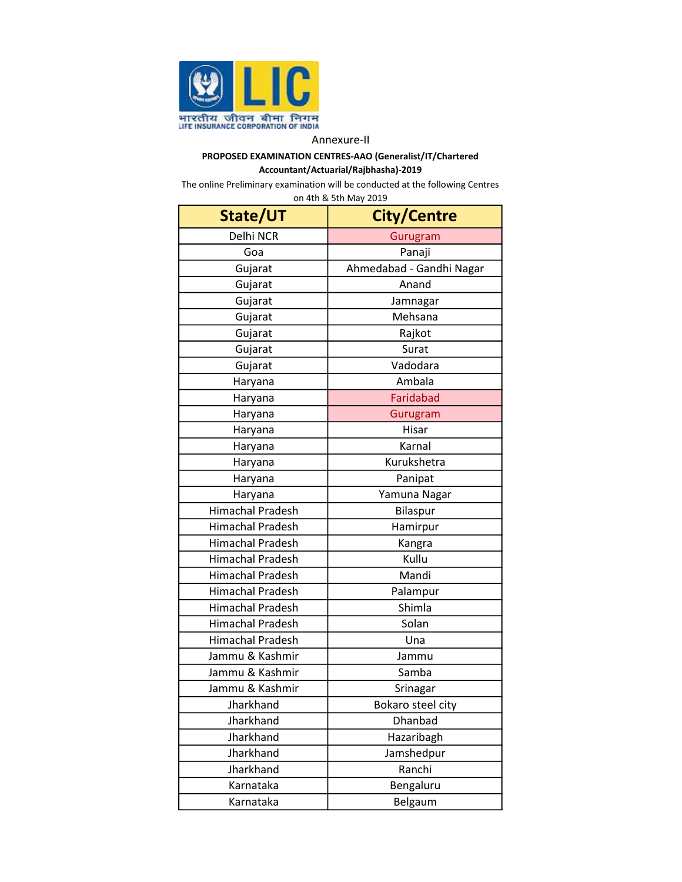

# PROPOSED EXAMINATION CENTRES-AAO (Generalist/IT/Chartered Accountant/Actuarial/Rajbhasha)-2019

| State/UT                | <b>City/Centre</b>       |  |  |  |
|-------------------------|--------------------------|--|--|--|
| Delhi NCR               | Gurugram                 |  |  |  |
| Goa                     | Panaji                   |  |  |  |
| Gujarat                 | Ahmedabad - Gandhi Nagar |  |  |  |
| Gujarat                 | Anand                    |  |  |  |
| Gujarat                 | Jamnagar                 |  |  |  |
| Gujarat                 | Mehsana                  |  |  |  |
| Gujarat                 | Rajkot                   |  |  |  |
| Gujarat                 | Surat                    |  |  |  |
| Gujarat                 | Vadodara                 |  |  |  |
| Haryana                 | Ambala                   |  |  |  |
| Haryana                 | Faridabad                |  |  |  |
| Haryana                 | Gurugram                 |  |  |  |
| Haryana                 | Hisar                    |  |  |  |
| Haryana                 | Karnal                   |  |  |  |
| Haryana                 | Kurukshetra              |  |  |  |
| Haryana                 | Panipat                  |  |  |  |
| Haryana                 | Yamuna Nagar             |  |  |  |
| <b>Himachal Pradesh</b> | Bilaspur                 |  |  |  |
| <b>Himachal Pradesh</b> | Hamirpur                 |  |  |  |
| <b>Himachal Pradesh</b> | Kangra                   |  |  |  |
| <b>Himachal Pradesh</b> | Kullu                    |  |  |  |
| <b>Himachal Pradesh</b> | Mandi                    |  |  |  |
| <b>Himachal Pradesh</b> | Palampur                 |  |  |  |
| <b>Himachal Pradesh</b> | Shimla                   |  |  |  |
| <b>Himachal Pradesh</b> | Solan                    |  |  |  |
| <b>Himachal Pradesh</b> | Una                      |  |  |  |
| Jammu & Kashmir         | Jammu                    |  |  |  |
| Jammu & Kashmir         | Samba                    |  |  |  |
| Jammu & Kashmir         | Srinagar                 |  |  |  |
| Jharkhand               | Bokaro steel city        |  |  |  |
| Jharkhand               | Dhanbad                  |  |  |  |
| Jharkhand               | Hazaribagh               |  |  |  |
| Jharkhand               | Jamshedpur               |  |  |  |
| Jharkhand               | Ranchi                   |  |  |  |
| Karnataka               | Bengaluru                |  |  |  |
| Karnataka               | Belgaum                  |  |  |  |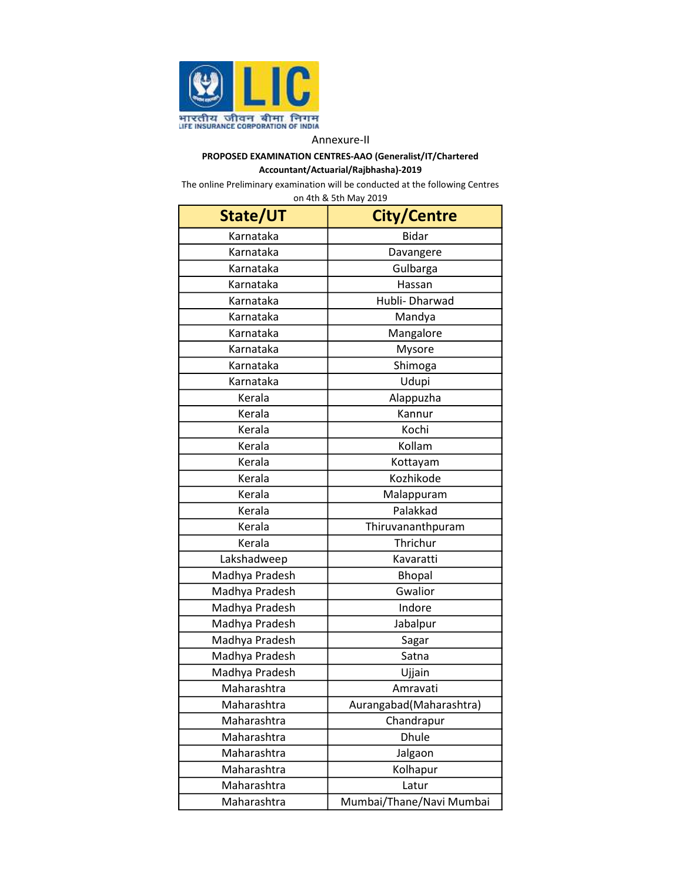

# PROPOSED EXAMINATION CENTRES-AAO (Generalist/IT/Chartered Accountant/Actuarial/Rajbhasha)-2019

| State/UT       | City/Centre              |  |  |  |
|----------------|--------------------------|--|--|--|
| Karnataka      | <b>Bidar</b>             |  |  |  |
| Karnataka      | Davangere                |  |  |  |
| Karnataka      | Gulbarga                 |  |  |  |
| Karnataka      | Hassan                   |  |  |  |
| Karnataka      | Hubli- Dharwad           |  |  |  |
| Karnataka      | Mandya                   |  |  |  |
| Karnataka      | Mangalore                |  |  |  |
| Karnataka      | Mysore                   |  |  |  |
| Karnataka      | Shimoga                  |  |  |  |
| Karnataka      | Udupi                    |  |  |  |
| Kerala         | Alappuzha                |  |  |  |
| Kerala         | Kannur                   |  |  |  |
| Kerala         | Kochi                    |  |  |  |
| Kerala         | Kollam                   |  |  |  |
| Kerala         | Kottayam                 |  |  |  |
| Kerala         | Kozhikode                |  |  |  |
| Kerala         | Malappuram               |  |  |  |
| Kerala         | Palakkad                 |  |  |  |
| Kerala         | Thiruvananthpuram        |  |  |  |
| Kerala         | Thrichur                 |  |  |  |
| Lakshadweep    | Kavaratti                |  |  |  |
| Madhya Pradesh | <b>Bhopal</b>            |  |  |  |
| Madhya Pradesh | Gwalior                  |  |  |  |
| Madhya Pradesh | Indore                   |  |  |  |
| Madhya Pradesh | Jabalpur                 |  |  |  |
| Madhya Pradesh | Sagar                    |  |  |  |
| Madhya Pradesh | Satna                    |  |  |  |
| Madhya Pradesh | Ujjain                   |  |  |  |
| Maharashtra    | Amravati                 |  |  |  |
| Maharashtra    | Aurangabad (Maharashtra) |  |  |  |
| Maharashtra    | Chandrapur               |  |  |  |
| Maharashtra    | <b>Dhule</b>             |  |  |  |
| Maharashtra    | Jalgaon                  |  |  |  |
| Maharashtra    | Kolhapur                 |  |  |  |
| Maharashtra    | Latur                    |  |  |  |
| Maharashtra    | Mumbai/Thane/Navi Mumbai |  |  |  |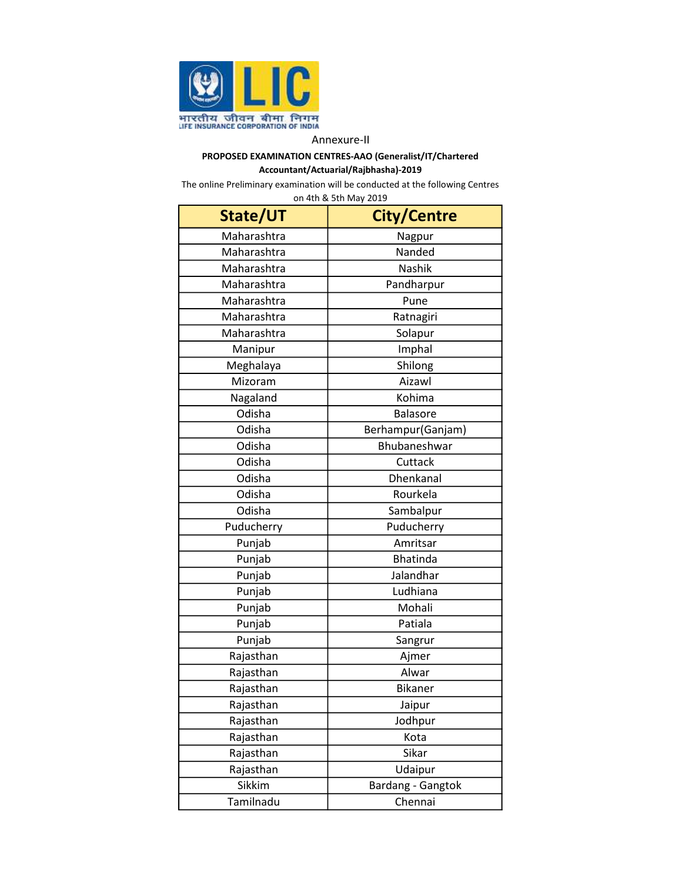

# PROPOSED EXAMINATION CENTRES-AAO (Generalist/IT/Chartered Accountant/Actuarial/Rajbhasha)-2019

| State/UT    | <b>City/Centre</b> |  |  |  |
|-------------|--------------------|--|--|--|
| Maharashtra | Nagpur             |  |  |  |
| Maharashtra | Nanded             |  |  |  |
| Maharashtra | Nashik             |  |  |  |
| Maharashtra | Pandharpur         |  |  |  |
| Maharashtra | Pune               |  |  |  |
| Maharashtra | Ratnagiri          |  |  |  |
| Maharashtra | Solapur            |  |  |  |
| Manipur     | Imphal             |  |  |  |
| Meghalaya   | Shilong            |  |  |  |
| Mizoram     | Aizawl             |  |  |  |
| Nagaland    | Kohima             |  |  |  |
| Odisha      | <b>Balasore</b>    |  |  |  |
| Odisha      | Berhampur(Ganjam)  |  |  |  |
| Odisha      | Bhubaneshwar       |  |  |  |
| Odisha      | Cuttack            |  |  |  |
| Odisha      | Dhenkanal          |  |  |  |
| Odisha      | Rourkela           |  |  |  |
| Odisha      | Sambalpur          |  |  |  |
| Puducherry  | Puducherry         |  |  |  |
| Punjab      | Amritsar           |  |  |  |
| Punjab      | <b>Bhatinda</b>    |  |  |  |
| Punjab      | Jalandhar          |  |  |  |
| Punjab      | Ludhiana           |  |  |  |
| Punjab      | Mohali             |  |  |  |
| Punjab      | Patiala            |  |  |  |
| Punjab      | Sangrur            |  |  |  |
| Rajasthan   | Ajmer              |  |  |  |
| Rajasthan   | Alwar              |  |  |  |
| Rajasthan   | <b>Bikaner</b>     |  |  |  |
| Rajasthan   | Jaipur             |  |  |  |
| Rajasthan   | Jodhpur            |  |  |  |
| Rajasthan   | Kota               |  |  |  |
| Rajasthan   | Sikar              |  |  |  |
| Rajasthan   | Udaipur            |  |  |  |
| Sikkim      | Bardang - Gangtok  |  |  |  |
| Tamilnadu   | Chennai            |  |  |  |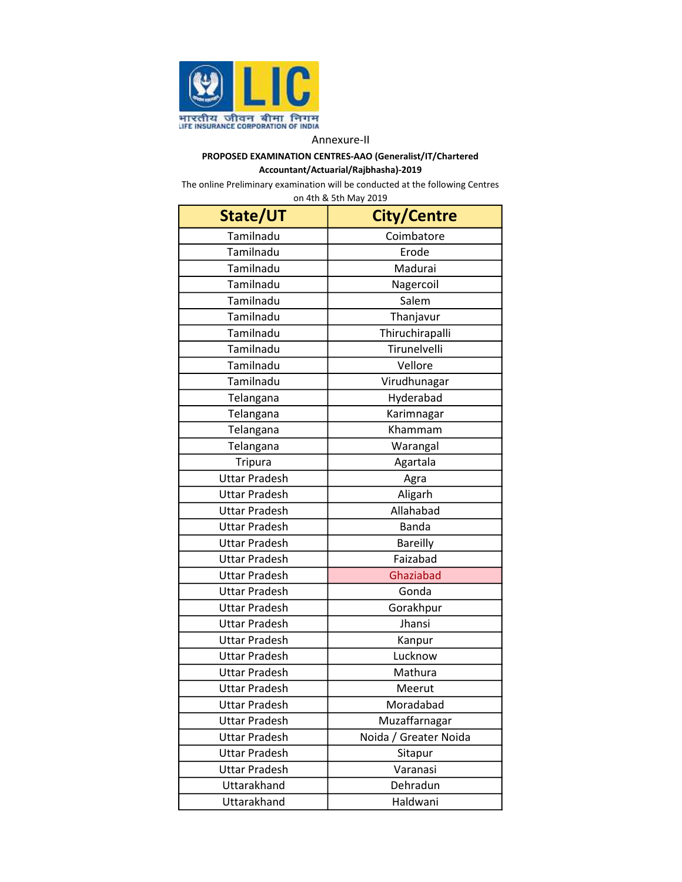

# PROPOSED EXAMINATION CENTRES-AAO (Generalist/IT/Chartered Accountant/Actuarial/Rajbhasha)-2019

| State/UT             | <b>City/Centre</b>    |  |  |  |
|----------------------|-----------------------|--|--|--|
| Tamilnadu            | Coimbatore            |  |  |  |
| Tamilnadu            | Erode                 |  |  |  |
| Tamilnadu            | Madurai               |  |  |  |
| Tamilnadu            | Nagercoil             |  |  |  |
| Tamilnadu            | Salem                 |  |  |  |
| Tamilnadu            | Thanjavur             |  |  |  |
| Tamilnadu            | Thiruchirapalli       |  |  |  |
| Tamilnadu            | Tirunelvelli          |  |  |  |
| Tamilnadu            | Vellore               |  |  |  |
| Tamilnadu            | Virudhunagar          |  |  |  |
| Telangana            | Hyderabad             |  |  |  |
| Telangana            | Karimnagar            |  |  |  |
| Telangana            | Khammam               |  |  |  |
| Telangana            | Warangal              |  |  |  |
| Tripura              | Agartala              |  |  |  |
| <b>Uttar Pradesh</b> | Agra                  |  |  |  |
| <b>Uttar Pradesh</b> | Aligarh               |  |  |  |
| <b>Uttar Pradesh</b> | Allahabad             |  |  |  |
| <b>Uttar Pradesh</b> | <b>Banda</b>          |  |  |  |
| <b>Uttar Pradesh</b> | <b>Bareilly</b>       |  |  |  |
| <b>Uttar Pradesh</b> | Faizabad              |  |  |  |
| <b>Uttar Pradesh</b> | Ghaziabad             |  |  |  |
| <b>Uttar Pradesh</b> | Gonda                 |  |  |  |
| <b>Uttar Pradesh</b> | Gorakhpur             |  |  |  |
| <b>Uttar Pradesh</b> | Jhansi                |  |  |  |
| <b>Uttar Pradesh</b> | Kanpur                |  |  |  |
| <b>Uttar Pradesh</b> | Lucknow               |  |  |  |
| <b>Uttar Pradesh</b> | Mathura               |  |  |  |
| <b>Uttar Pradesh</b> | Meerut                |  |  |  |
| <b>Uttar Pradesh</b> | Moradabad             |  |  |  |
| <b>Uttar Pradesh</b> | Muzaffarnagar         |  |  |  |
| <b>Uttar Pradesh</b> | Noida / Greater Noida |  |  |  |
| <b>Uttar Pradesh</b> | Sitapur               |  |  |  |
| <b>Uttar Pradesh</b> | Varanasi              |  |  |  |
| Uttarakhand          | Dehradun              |  |  |  |
| Uttarakhand          | Haldwani              |  |  |  |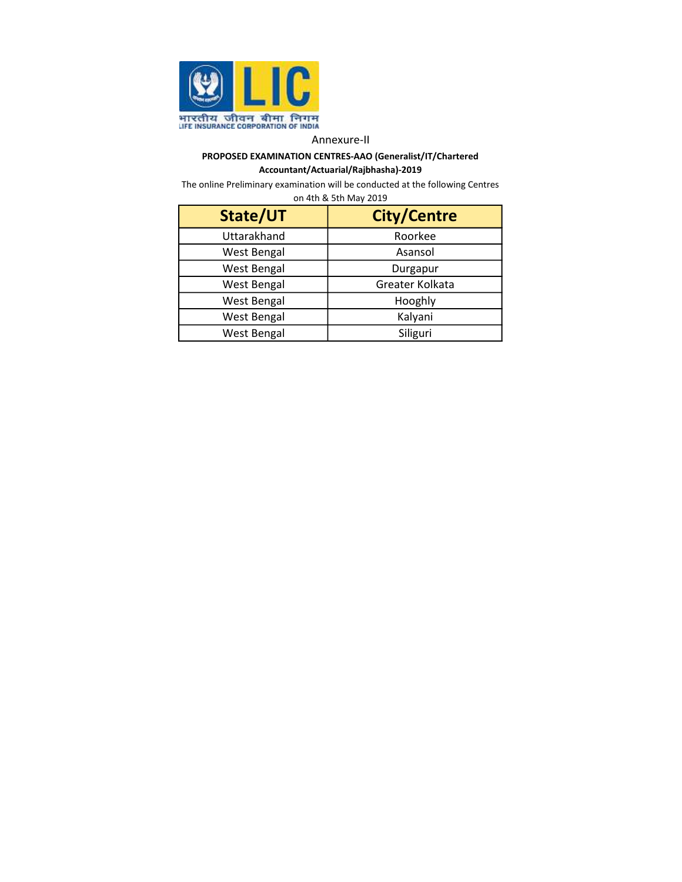

# PROPOSED EXAMINATION CENTRES-AAO (Generalist/IT/Chartered Accountant/Actuarial/Rajbhasha)-2019

| State/UT           | <b>City/Centre</b> |  |  |  |
|--------------------|--------------------|--|--|--|
| Uttarakhand        | Roorkee            |  |  |  |
| <b>West Bengal</b> | Asansol            |  |  |  |
| <b>West Bengal</b> | Durgapur           |  |  |  |
| <b>West Bengal</b> | Greater Kolkata    |  |  |  |
| <b>West Bengal</b> | Hooghly            |  |  |  |
| <b>West Bengal</b> | Kalyani            |  |  |  |
| <b>West Bengal</b> | Siliguri           |  |  |  |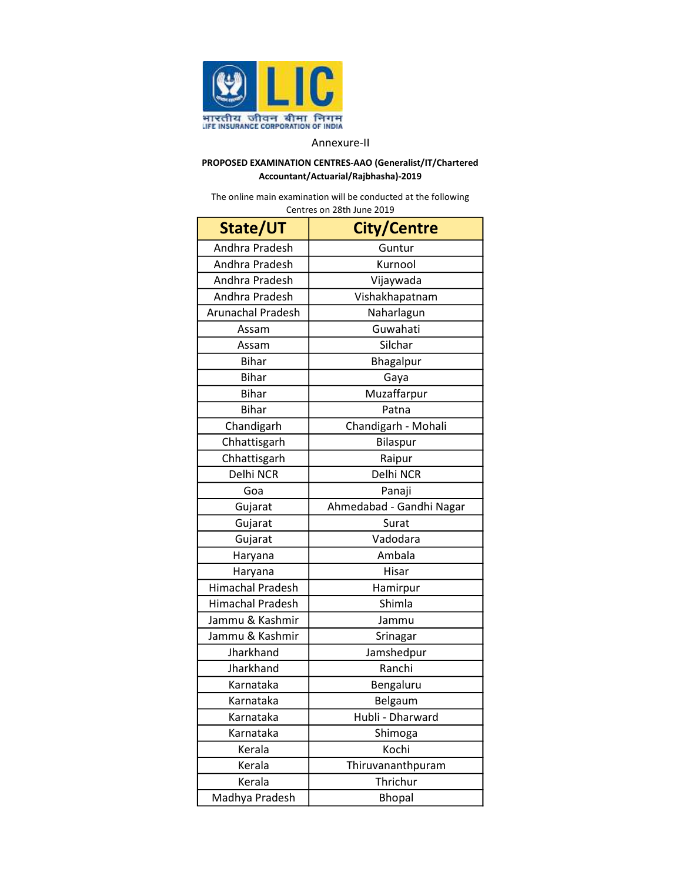

# PROPOSED EXAMINATION CENTRES-AAO (Generalist/IT/Chartered Accountant/Actuarial/Rajbhasha)-2019

The online main examination will be conducted at the following Centres on 28th June 2019

| State/UT                 | <b>City/Centre</b>       |  |  |  |
|--------------------------|--------------------------|--|--|--|
| Andhra Pradesh           | Guntur                   |  |  |  |
| Andhra Pradesh           | Kurnool                  |  |  |  |
| Andhra Pradesh           | Vijaywada                |  |  |  |
| Andhra Pradesh           | Vishakhapatnam           |  |  |  |
| <b>Arunachal Pradesh</b> | Naharlagun               |  |  |  |
| Assam                    | Guwahati                 |  |  |  |
| Assam                    | Silchar                  |  |  |  |
| <b>Bihar</b>             | Bhagalpur                |  |  |  |
| <b>Bihar</b>             | Gaya                     |  |  |  |
| <b>Bihar</b>             | Muzaffarpur              |  |  |  |
| <b>Bihar</b>             | Patna                    |  |  |  |
| Chandigarh               | Chandigarh - Mohali      |  |  |  |
| Chhattisgarh             | Bilaspur                 |  |  |  |
| Chhattisgarh             | Raipur                   |  |  |  |
| Delhi NCR                | Delhi NCR                |  |  |  |
| Goa                      | Panaji                   |  |  |  |
| Gujarat                  | Ahmedabad - Gandhi Nagar |  |  |  |
| Gujarat                  | Surat                    |  |  |  |
| Gujarat                  | Vadodara                 |  |  |  |
| Haryana                  | Ambala                   |  |  |  |
| Haryana                  | Hisar                    |  |  |  |
| <b>Himachal Pradesh</b>  | Hamirpur                 |  |  |  |
| <b>Himachal Pradesh</b>  | Shimla                   |  |  |  |
| Jammu & Kashmir          | Jammu                    |  |  |  |
| Jammu & Kashmir          | Srinagar                 |  |  |  |
| Jharkhand                | Jamshedpur               |  |  |  |
| Jharkhand                | Ranchi                   |  |  |  |
| Karnataka                | Bengaluru                |  |  |  |
| Karnataka                | Belgaum                  |  |  |  |
| Karnataka                | Hubli - Dharward         |  |  |  |
| Karnataka                | Shimoga                  |  |  |  |
| Kerala                   | Kochi                    |  |  |  |
| Kerala                   | Thiruvananthpuram        |  |  |  |
| Kerala                   | Thrichur                 |  |  |  |
| Madhya Pradesh           | <b>Bhopal</b>            |  |  |  |